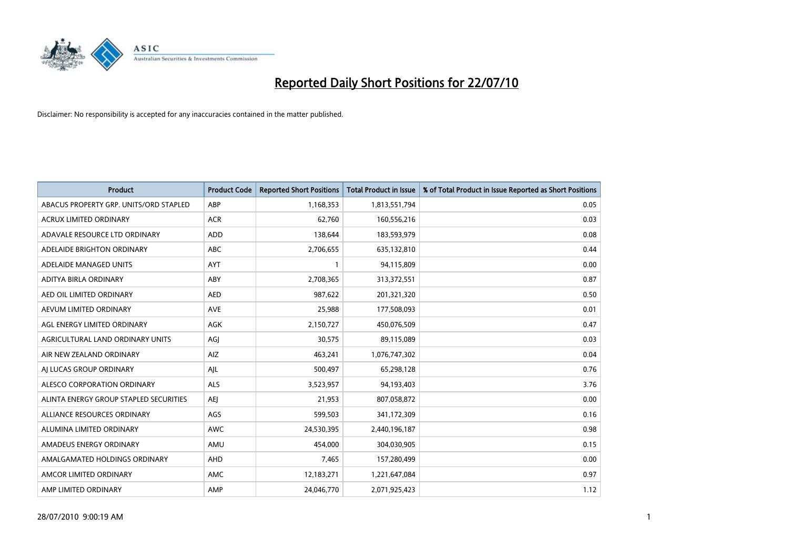

| <b>Product</b>                         | <b>Product Code</b> | <b>Reported Short Positions</b> | <b>Total Product in Issue</b> | % of Total Product in Issue Reported as Short Positions |
|----------------------------------------|---------------------|---------------------------------|-------------------------------|---------------------------------------------------------|
| ABACUS PROPERTY GRP. UNITS/ORD STAPLED | ABP                 | 1,168,353                       | 1,813,551,794                 | 0.05                                                    |
| ACRUX LIMITED ORDINARY                 | <b>ACR</b>          | 62,760                          | 160,556,216                   | 0.03                                                    |
| ADAVALE RESOURCE LTD ORDINARY          | ADD                 | 138,644                         | 183,593,979                   | 0.08                                                    |
| ADELAIDE BRIGHTON ORDINARY             | <b>ABC</b>          | 2,706,655                       | 635,132,810                   | 0.44                                                    |
| ADELAIDE MANAGED UNITS                 | <b>AYT</b>          |                                 | 94,115,809                    | 0.00                                                    |
| ADITYA BIRLA ORDINARY                  | ABY                 | 2,708,365                       | 313,372,551                   | 0.87                                                    |
| AED OIL LIMITED ORDINARY               | <b>AED</b>          | 987,622                         | 201,321,320                   | 0.50                                                    |
| AEVUM LIMITED ORDINARY                 | <b>AVE</b>          | 25,988                          | 177,508,093                   | 0.01                                                    |
| AGL ENERGY LIMITED ORDINARY            | AGK                 | 2,150,727                       | 450,076,509                   | 0.47                                                    |
| AGRICULTURAL LAND ORDINARY UNITS       | AGJ                 | 30,575                          | 89,115,089                    | 0.03                                                    |
| AIR NEW ZEALAND ORDINARY               | AIZ                 | 463,241                         | 1,076,747,302                 | 0.04                                                    |
| AI LUCAS GROUP ORDINARY                | AIL                 | 500,497                         | 65,298,128                    | 0.76                                                    |
| ALESCO CORPORATION ORDINARY            | <b>ALS</b>          | 3,523,957                       | 94,193,403                    | 3.76                                                    |
| ALINTA ENERGY GROUP STAPLED SECURITIES | <b>AEI</b>          | 21,953                          | 807,058,872                   | 0.00                                                    |
| ALLIANCE RESOURCES ORDINARY            | AGS                 | 599,503                         | 341,172,309                   | 0.16                                                    |
| ALUMINA LIMITED ORDINARY               | <b>AWC</b>          | 24,530,395                      | 2,440,196,187                 | 0.98                                                    |
| AMADEUS ENERGY ORDINARY                | AMU                 | 454,000                         | 304,030,905                   | 0.15                                                    |
| AMALGAMATED HOLDINGS ORDINARY          | <b>AHD</b>          | 7,465                           | 157,280,499                   | 0.00                                                    |
| AMCOR LIMITED ORDINARY                 | AMC                 | 12,183,271                      | 1,221,647,084                 | 0.97                                                    |
| AMP LIMITED ORDINARY                   | AMP                 | 24,046,770                      | 2,071,925,423                 | 1.12                                                    |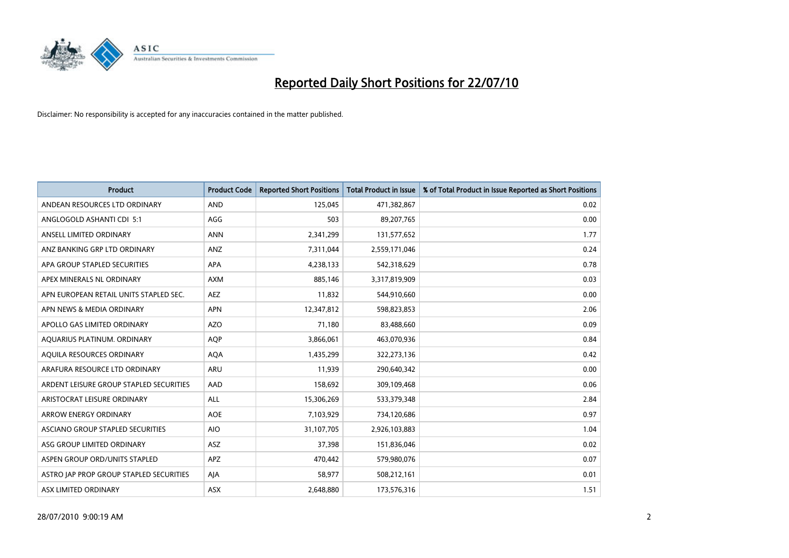

| <b>Product</b>                          | <b>Product Code</b> | <b>Reported Short Positions</b> | Total Product in Issue | % of Total Product in Issue Reported as Short Positions |
|-----------------------------------------|---------------------|---------------------------------|------------------------|---------------------------------------------------------|
| ANDEAN RESOURCES LTD ORDINARY           | <b>AND</b>          | 125,045                         | 471,382,867            | 0.02                                                    |
| ANGLOGOLD ASHANTI CDI 5:1               | AGG                 | 503                             | 89,207,765             | 0.00                                                    |
| ANSELL LIMITED ORDINARY                 | <b>ANN</b>          | 2,341,299                       | 131,577,652            | 1.77                                                    |
| ANZ BANKING GRP LTD ORDINARY            | ANZ                 | 7,311,044                       | 2,559,171,046          | 0.24                                                    |
| APA GROUP STAPLED SECURITIES            | APA                 | 4,238,133                       | 542,318,629            | 0.78                                                    |
| APEX MINERALS NL ORDINARY               | <b>AXM</b>          | 885,146                         | 3,317,819,909          | 0.03                                                    |
| APN EUROPEAN RETAIL UNITS STAPLED SEC.  | <b>AEZ</b>          | 11,832                          | 544,910,660            | 0.00                                                    |
| APN NEWS & MEDIA ORDINARY               | <b>APN</b>          | 12,347,812                      | 598,823,853            | 2.06                                                    |
| APOLLO GAS LIMITED ORDINARY             | <b>AZO</b>          | 71,180                          | 83,488,660             | 0.09                                                    |
| AQUARIUS PLATINUM. ORDINARY             | <b>AOP</b>          | 3,866,061                       | 463,070,936            | 0.84                                                    |
| AQUILA RESOURCES ORDINARY               | <b>AQA</b>          | 1,435,299                       | 322,273,136            | 0.42                                                    |
| ARAFURA RESOURCE LTD ORDINARY           | <b>ARU</b>          | 11,939                          | 290,640,342            | 0.00                                                    |
| ARDENT LEISURE GROUP STAPLED SECURITIES | AAD                 | 158,692                         | 309,109,468            | 0.06                                                    |
| ARISTOCRAT LEISURE ORDINARY             | ALL                 | 15,306,269                      | 533,379,348            | 2.84                                                    |
| <b>ARROW ENERGY ORDINARY</b>            | <b>AOE</b>          | 7,103,929                       | 734,120,686            | 0.97                                                    |
| ASCIANO GROUP STAPLED SECURITIES        | <b>AIO</b>          | 31,107,705                      | 2,926,103,883          | 1.04                                                    |
| ASG GROUP LIMITED ORDINARY              | ASZ                 | 37,398                          | 151,836,046            | 0.02                                                    |
| ASPEN GROUP ORD/UNITS STAPLED           | <b>APZ</b>          | 470,442                         | 579,980,076            | 0.07                                                    |
| ASTRO JAP PROP GROUP STAPLED SECURITIES | AJA                 | 58,977                          | 508,212,161            | 0.01                                                    |
| ASX LIMITED ORDINARY                    | ASX                 | 2,648,880                       | 173,576,316            | 1.51                                                    |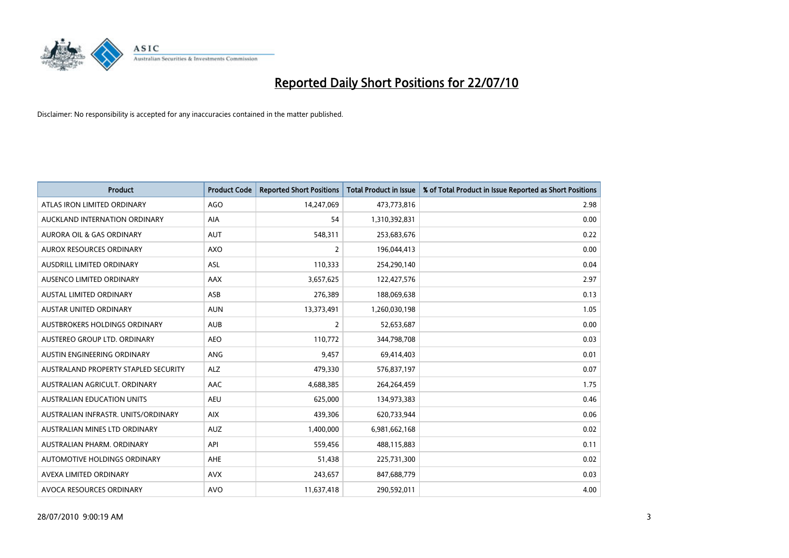

| <b>Product</b>                       | <b>Product Code</b> | <b>Reported Short Positions</b> | <b>Total Product in Issue</b> | % of Total Product in Issue Reported as Short Positions |
|--------------------------------------|---------------------|---------------------------------|-------------------------------|---------------------------------------------------------|
| ATLAS IRON LIMITED ORDINARY          | <b>AGO</b>          | 14,247,069                      | 473,773,816                   | 2.98                                                    |
| AUCKLAND INTERNATION ORDINARY        | AIA                 | 54                              | 1,310,392,831                 | 0.00                                                    |
| <b>AURORA OIL &amp; GAS ORDINARY</b> | <b>AUT</b>          | 548,311                         | 253,683,676                   | 0.22                                                    |
| AUROX RESOURCES ORDINARY             | <b>AXO</b>          | $\overline{2}$                  | 196,044,413                   | 0.00                                                    |
| AUSDRILL LIMITED ORDINARY            | ASL                 | 110,333                         | 254,290,140                   | 0.04                                                    |
| AUSENCO LIMITED ORDINARY             | AAX                 | 3,657,625                       | 122,427,576                   | 2.97                                                    |
| <b>AUSTAL LIMITED ORDINARY</b>       | ASB                 | 276,389                         | 188,069,638                   | 0.13                                                    |
| AUSTAR UNITED ORDINARY               | <b>AUN</b>          | 13,373,491                      | 1,260,030,198                 | 1.05                                                    |
| <b>AUSTBROKERS HOLDINGS ORDINARY</b> | <b>AUB</b>          | 2                               | 52,653,687                    | 0.00                                                    |
| AUSTEREO GROUP LTD. ORDINARY         | <b>AEO</b>          | 110,772                         | 344,798,708                   | 0.03                                                    |
| AUSTIN ENGINEERING ORDINARY          | ANG                 | 9,457                           | 69,414,403                    | 0.01                                                    |
| AUSTRALAND PROPERTY STAPLED SECURITY | <b>ALZ</b>          | 479,330                         | 576,837,197                   | 0.07                                                    |
| AUSTRALIAN AGRICULT. ORDINARY        | AAC                 | 4,688,385                       | 264,264,459                   | 1.75                                                    |
| <b>AUSTRALIAN EDUCATION UNITS</b>    | <b>AEU</b>          | 625,000                         | 134,973,383                   | 0.46                                                    |
| AUSTRALIAN INFRASTR, UNITS/ORDINARY  | <b>AIX</b>          | 439,306                         | 620,733,944                   | 0.06                                                    |
| AUSTRALIAN MINES LTD ORDINARY        | <b>AUZ</b>          | 1,400,000                       | 6,981,662,168                 | 0.02                                                    |
| AUSTRALIAN PHARM. ORDINARY           | API                 | 559,456                         | 488,115,883                   | 0.11                                                    |
| AUTOMOTIVE HOLDINGS ORDINARY         | AHE                 | 51,438                          | 225,731,300                   | 0.02                                                    |
| AVEXA LIMITED ORDINARY               | <b>AVX</b>          | 243,657                         | 847,688,779                   | 0.03                                                    |
| AVOCA RESOURCES ORDINARY             | <b>AVO</b>          | 11,637,418                      | 290,592,011                   | 4.00                                                    |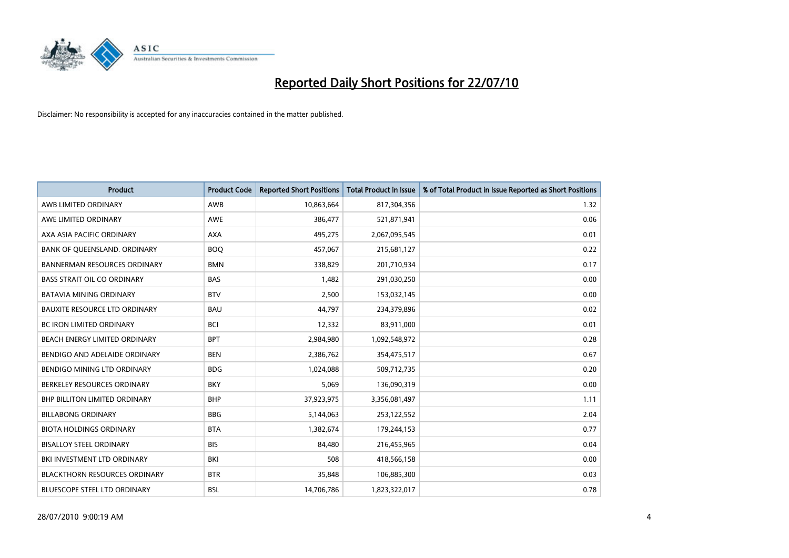

| <b>Product</b>                       | <b>Product Code</b> | <b>Reported Short Positions</b> | <b>Total Product in Issue</b> | % of Total Product in Issue Reported as Short Positions |
|--------------------------------------|---------------------|---------------------------------|-------------------------------|---------------------------------------------------------|
| AWB LIMITED ORDINARY                 | AWB                 | 10,863,664                      | 817,304,356                   | 1.32                                                    |
| AWE LIMITED ORDINARY                 | <b>AWE</b>          | 386,477                         | 521,871,941                   | 0.06                                                    |
| AXA ASIA PACIFIC ORDINARY            | <b>AXA</b>          | 495,275                         | 2,067,095,545                 | 0.01                                                    |
| BANK OF QUEENSLAND. ORDINARY         | <b>BOO</b>          | 457,067                         | 215,681,127                   | 0.22                                                    |
| <b>BANNERMAN RESOURCES ORDINARY</b>  | <b>BMN</b>          | 338,829                         | 201,710,934                   | 0.17                                                    |
| <b>BASS STRAIT OIL CO ORDINARY</b>   | <b>BAS</b>          | 1,482                           | 291,030,250                   | 0.00                                                    |
| <b>BATAVIA MINING ORDINARY</b>       | <b>BTV</b>          | 2,500                           | 153,032,145                   | 0.00                                                    |
| <b>BAUXITE RESOURCE LTD ORDINARY</b> | <b>BAU</b>          | 44,797                          | 234,379,896                   | 0.02                                                    |
| BC IRON LIMITED ORDINARY             | <b>BCI</b>          | 12,332                          | 83,911,000                    | 0.01                                                    |
| BEACH ENERGY LIMITED ORDINARY        | <b>BPT</b>          | 2,984,980                       | 1,092,548,972                 | 0.28                                                    |
| BENDIGO AND ADELAIDE ORDINARY        | <b>BEN</b>          | 2,386,762                       | 354,475,517                   | 0.67                                                    |
| BENDIGO MINING LTD ORDINARY          | <b>BDG</b>          | 1,024,088                       | 509,712,735                   | 0.20                                                    |
| BERKELEY RESOURCES ORDINARY          | <b>BKY</b>          | 5,069                           | 136,090,319                   | 0.00                                                    |
| <b>BHP BILLITON LIMITED ORDINARY</b> | <b>BHP</b>          | 37,923,975                      | 3,356,081,497                 | 1.11                                                    |
| <b>BILLABONG ORDINARY</b>            | <b>BBG</b>          | 5,144,063                       | 253,122,552                   | 2.04                                                    |
| <b>BIOTA HOLDINGS ORDINARY</b>       | <b>BTA</b>          | 1,382,674                       | 179,244,153                   | 0.77                                                    |
| <b>BISALLOY STEEL ORDINARY</b>       | <b>BIS</b>          | 84,480                          | 216,455,965                   | 0.04                                                    |
| <b>BKI INVESTMENT LTD ORDINARY</b>   | BKI                 | 508                             | 418,566,158                   | 0.00                                                    |
| <b>BLACKTHORN RESOURCES ORDINARY</b> | <b>BTR</b>          | 35,848                          | 106,885,300                   | 0.03                                                    |
| <b>BLUESCOPE STEEL LTD ORDINARY</b>  | <b>BSL</b>          | 14,706,786                      | 1,823,322,017                 | 0.78                                                    |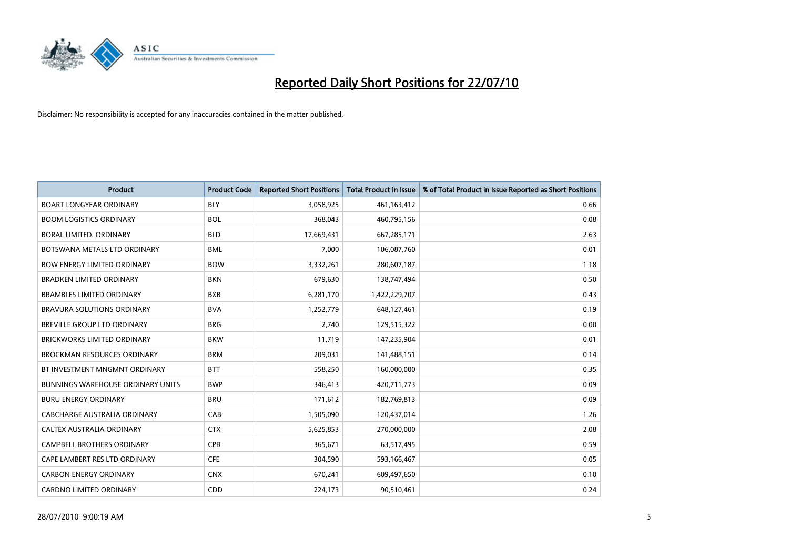

| <b>Product</b>                           | <b>Product Code</b> | <b>Reported Short Positions</b> | <b>Total Product in Issue</b> | % of Total Product in Issue Reported as Short Positions |
|------------------------------------------|---------------------|---------------------------------|-------------------------------|---------------------------------------------------------|
| <b>BOART LONGYEAR ORDINARY</b>           | <b>BLY</b>          | 3,058,925                       | 461,163,412                   | 0.66                                                    |
| <b>BOOM LOGISTICS ORDINARY</b>           | <b>BOL</b>          | 368,043                         | 460,795,156                   | 0.08                                                    |
| BORAL LIMITED, ORDINARY                  | <b>BLD</b>          | 17,669,431                      | 667,285,171                   | 2.63                                                    |
| BOTSWANA METALS LTD ORDINARY             | <b>BML</b>          | 7,000                           | 106,087,760                   | 0.01                                                    |
| <b>BOW ENERGY LIMITED ORDINARY</b>       | <b>BOW</b>          | 3,332,261                       | 280,607,187                   | 1.18                                                    |
| <b>BRADKEN LIMITED ORDINARY</b>          | <b>BKN</b>          | 679,630                         | 138,747,494                   | 0.50                                                    |
| <b>BRAMBLES LIMITED ORDINARY</b>         | <b>BXB</b>          | 6,281,170                       | 1,422,229,707                 | 0.43                                                    |
| BRAVURA SOLUTIONS ORDINARY               | <b>BVA</b>          | 1,252,779                       | 648,127,461                   | 0.19                                                    |
| <b>BREVILLE GROUP LTD ORDINARY</b>       | <b>BRG</b>          | 2.740                           | 129,515,322                   | 0.00                                                    |
| <b>BRICKWORKS LIMITED ORDINARY</b>       | <b>BKW</b>          | 11,719                          | 147,235,904                   | 0.01                                                    |
| <b>BROCKMAN RESOURCES ORDINARY</b>       | <b>BRM</b>          | 209,031                         | 141,488,151                   | 0.14                                                    |
| BT INVESTMENT MNGMNT ORDINARY            | <b>BTT</b>          | 558,250                         | 160,000,000                   | 0.35                                                    |
| <b>BUNNINGS WAREHOUSE ORDINARY UNITS</b> | <b>BWP</b>          | 346,413                         | 420,711,773                   | 0.09                                                    |
| <b>BURU ENERGY ORDINARY</b>              | <b>BRU</b>          | 171,612                         | 182,769,813                   | 0.09                                                    |
| <b>CABCHARGE AUSTRALIA ORDINARY</b>      | CAB                 | 1,505,090                       | 120,437,014                   | 1.26                                                    |
| CALTEX AUSTRALIA ORDINARY                | <b>CTX</b>          | 5,625,853                       | 270,000,000                   | 2.08                                                    |
| CAMPBELL BROTHERS ORDINARY               | CPB                 | 365,671                         | 63,517,495                    | 0.59                                                    |
| CAPE LAMBERT RES LTD ORDINARY            | <b>CFE</b>          | 304,590                         | 593,166,467                   | 0.05                                                    |
| <b>CARBON ENERGY ORDINARY</b>            | <b>CNX</b>          | 670,241                         | 609,497,650                   | 0.10                                                    |
| CARDNO LIMITED ORDINARY                  | CDD                 | 224,173                         | 90,510,461                    | 0.24                                                    |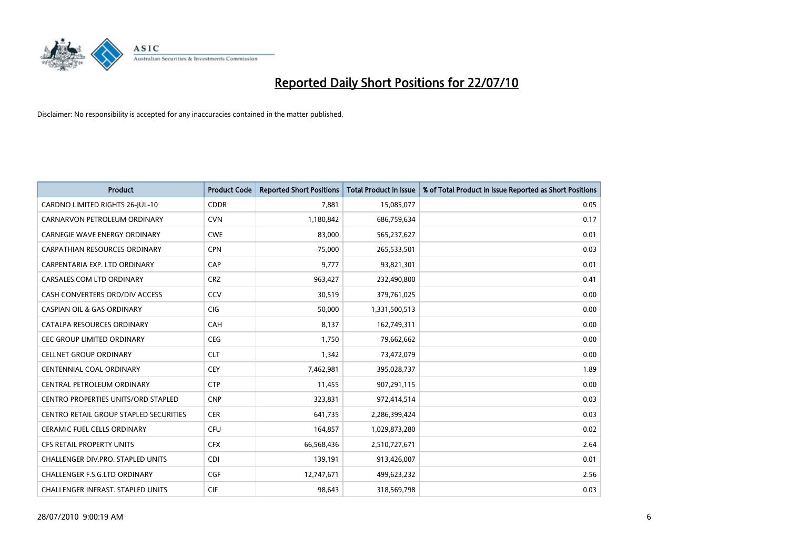

| <b>Product</b>                                | <b>Product Code</b> | <b>Reported Short Positions</b> | <b>Total Product in Issue</b> | % of Total Product in Issue Reported as Short Positions |
|-----------------------------------------------|---------------------|---------------------------------|-------------------------------|---------------------------------------------------------|
| CARDNO LIMITED RIGHTS 26-JUL-10               | <b>CDDR</b>         | 7.881                           | 15,085,077                    | 0.05                                                    |
| CARNARVON PETROLEUM ORDINARY                  | <b>CVN</b>          | 1,180,842                       | 686,759,634                   | 0.17                                                    |
| <b>CARNEGIE WAVE ENERGY ORDINARY</b>          | <b>CWE</b>          | 83,000                          | 565,237,627                   | 0.01                                                    |
| CARPATHIAN RESOURCES ORDINARY                 | <b>CPN</b>          | 75,000                          | 265,533,501                   | 0.03                                                    |
| CARPENTARIA EXP. LTD ORDINARY                 | CAP                 | 9,777                           | 93,821,301                    | 0.01                                                    |
| CARSALES.COM LTD ORDINARY                     | <b>CRZ</b>          | 963,427                         | 232,490,800                   | 0.41                                                    |
| CASH CONVERTERS ORD/DIV ACCESS                | CCV                 | 30,519                          | 379,761,025                   | 0.00                                                    |
| <b>CASPIAN OIL &amp; GAS ORDINARY</b>         | <b>CIG</b>          | 50.000                          | 1,331,500,513                 | 0.00                                                    |
| CATALPA RESOURCES ORDINARY                    | CAH                 | 8,137                           | 162,749,311                   | 0.00                                                    |
| <b>CEC GROUP LIMITED ORDINARY</b>             | <b>CEG</b>          | 1,750                           | 79,662,662                    | 0.00                                                    |
| <b>CELLNET GROUP ORDINARY</b>                 | <b>CLT</b>          | 1,342                           | 73,472,079                    | 0.00                                                    |
| <b>CENTENNIAL COAL ORDINARY</b>               | <b>CEY</b>          | 7,462,981                       | 395,028,737                   | 1.89                                                    |
| CENTRAL PETROLEUM ORDINARY                    | <b>CTP</b>          | 11,455                          | 907,291,115                   | 0.00                                                    |
| <b>CENTRO PROPERTIES UNITS/ORD STAPLED</b>    | <b>CNP</b>          | 323,831                         | 972,414,514                   | 0.03                                                    |
| <b>CENTRO RETAIL GROUP STAPLED SECURITIES</b> | <b>CER</b>          | 641,735                         | 2,286,399,424                 | 0.03                                                    |
| <b>CERAMIC FUEL CELLS ORDINARY</b>            | <b>CFU</b>          | 164,857                         | 1,029,873,280                 | 0.02                                                    |
| CFS RETAIL PROPERTY UNITS                     | <b>CFX</b>          | 66,568,436                      | 2,510,727,671                 | 2.64                                                    |
| <b>CHALLENGER DIV.PRO. STAPLED UNITS</b>      | <b>CDI</b>          | 139,191                         | 913,426,007                   | 0.01                                                    |
| <b>CHALLENGER F.S.G.LTD ORDINARY</b>          | <b>CGF</b>          | 12,747,671                      | 499,623,232                   | 2.56                                                    |
| CHALLENGER INFRAST. STAPLED UNITS             | <b>CIF</b>          | 98,643                          | 318,569,798                   | 0.03                                                    |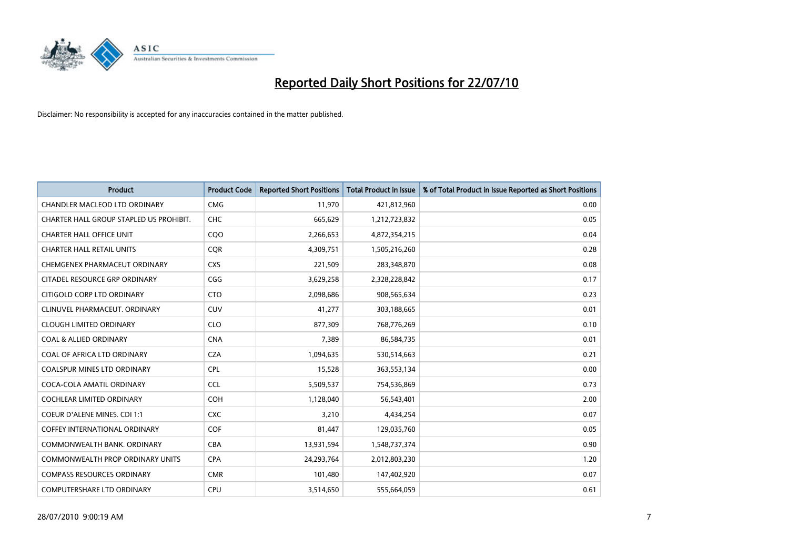

| <b>Product</b>                          | <b>Product Code</b> | <b>Reported Short Positions</b> | Total Product in Issue | % of Total Product in Issue Reported as Short Positions |
|-----------------------------------------|---------------------|---------------------------------|------------------------|---------------------------------------------------------|
| <b>CHANDLER MACLEOD LTD ORDINARY</b>    | <b>CMG</b>          | 11,970                          | 421,812,960            | 0.00                                                    |
| CHARTER HALL GROUP STAPLED US PROHIBIT. | <b>CHC</b>          | 665,629                         | 1,212,723,832          | 0.05                                                    |
| <b>CHARTER HALL OFFICE UNIT</b>         | CQO                 | 2,266,653                       | 4,872,354,215          | 0.04                                                    |
| <b>CHARTER HALL RETAIL UNITS</b>        | <b>COR</b>          | 4,309,751                       | 1,505,216,260          | 0.28                                                    |
| CHEMGENEX PHARMACEUT ORDINARY           | <b>CXS</b>          | 221,509                         | 283,348,870            | 0.08                                                    |
| CITADEL RESOURCE GRP ORDINARY           | CGG                 | 3,629,258                       | 2,328,228,842          | 0.17                                                    |
| CITIGOLD CORP LTD ORDINARY              | <b>CTO</b>          | 2,098,686                       | 908,565,634            | 0.23                                                    |
| CLINUVEL PHARMACEUT, ORDINARY           | CUV                 | 41,277                          | 303,188,665            | 0.01                                                    |
| <b>CLOUGH LIMITED ORDINARY</b>          | <b>CLO</b>          | 877,309                         | 768,776,269            | 0.10                                                    |
| <b>COAL &amp; ALLIED ORDINARY</b>       | <b>CNA</b>          | 7,389                           | 86,584,735             | 0.01                                                    |
| COAL OF AFRICA LTD ORDINARY             | <b>CZA</b>          | 1,094,635                       | 530,514,663            | 0.21                                                    |
| <b>COALSPUR MINES LTD ORDINARY</b>      | <b>CPL</b>          | 15,528                          | 363,553,134            | 0.00                                                    |
| COCA-COLA AMATIL ORDINARY               | <b>CCL</b>          | 5,509,537                       | 754,536,869            | 0.73                                                    |
| <b>COCHLEAR LIMITED ORDINARY</b>        | <b>COH</b>          | 1,128,040                       | 56,543,401             | 2.00                                                    |
| COEUR D'ALENE MINES. CDI 1:1            | <b>CXC</b>          | 3,210                           | 4,434,254              | 0.07                                                    |
| <b>COFFEY INTERNATIONAL ORDINARY</b>    | COF                 | 81,447                          | 129,035,760            | 0.05                                                    |
| COMMONWEALTH BANK, ORDINARY             | <b>CBA</b>          | 13,931,594                      | 1,548,737,374          | 0.90                                                    |
| COMMONWEALTH PROP ORDINARY UNITS        | <b>CPA</b>          | 24,293,764                      | 2,012,803,230          | 1.20                                                    |
| <b>COMPASS RESOURCES ORDINARY</b>       | <b>CMR</b>          | 101,480                         | 147,402,920            | 0.07                                                    |
| <b>COMPUTERSHARE LTD ORDINARY</b>       | <b>CPU</b>          | 3,514,650                       | 555,664,059            | 0.61                                                    |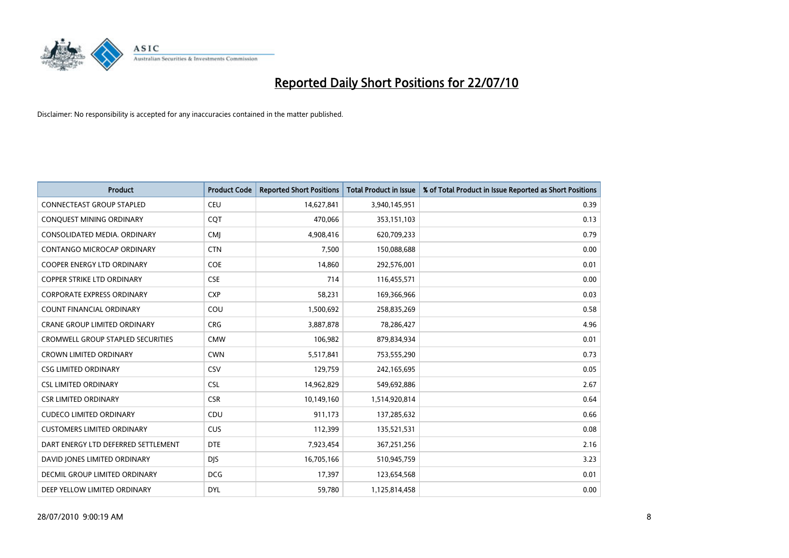

| <b>Product</b>                           | <b>Product Code</b> | <b>Reported Short Positions</b> | Total Product in Issue | % of Total Product in Issue Reported as Short Positions |
|------------------------------------------|---------------------|---------------------------------|------------------------|---------------------------------------------------------|
| <b>CONNECTEAST GROUP STAPLED</b>         | <b>CEU</b>          | 14,627,841                      | 3,940,145,951          | 0.39                                                    |
| CONQUEST MINING ORDINARY                 | <b>COT</b>          | 470.066                         | 353,151,103            | 0.13                                                    |
| CONSOLIDATED MEDIA, ORDINARY             | <b>CMJ</b>          | 4,908,416                       | 620,709,233            | 0.79                                                    |
| CONTANGO MICROCAP ORDINARY               | <b>CTN</b>          | 7,500                           | 150,088,688            | 0.00                                                    |
| COOPER ENERGY LTD ORDINARY               | COE                 | 14.860                          | 292,576,001            | 0.01                                                    |
| <b>COPPER STRIKE LTD ORDINARY</b>        | <b>CSE</b>          | 714                             | 116,455,571            | 0.00                                                    |
| <b>CORPORATE EXPRESS ORDINARY</b>        | <b>CXP</b>          | 58,231                          | 169,366,966            | 0.03                                                    |
| <b>COUNT FINANCIAL ORDINARY</b>          | COU                 | 1,500,692                       | 258,835,269            | 0.58                                                    |
| CRANE GROUP LIMITED ORDINARY             | <b>CRG</b>          | 3,887,878                       | 78,286,427             | 4.96                                                    |
| <b>CROMWELL GROUP STAPLED SECURITIES</b> | <b>CMW</b>          | 106,982                         | 879,834,934            | 0.01                                                    |
| <b>CROWN LIMITED ORDINARY</b>            | <b>CWN</b>          | 5,517,841                       | 753,555,290            | 0.73                                                    |
| <b>CSG LIMITED ORDINARY</b>              | CSV                 | 129,759                         | 242,165,695            | 0.05                                                    |
| <b>CSL LIMITED ORDINARY</b>              | <b>CSL</b>          | 14,962,829                      | 549,692,886            | 2.67                                                    |
| <b>CSR LIMITED ORDINARY</b>              | <b>CSR</b>          | 10,149,160                      | 1,514,920,814          | 0.64                                                    |
| <b>CUDECO LIMITED ORDINARY</b>           | CDU                 | 911,173                         | 137,285,632            | 0.66                                                    |
| <b>CUSTOMERS LIMITED ORDINARY</b>        | <b>CUS</b>          | 112,399                         | 135,521,531            | 0.08                                                    |
| DART ENERGY LTD DEFERRED SETTLEMENT      | <b>DTE</b>          | 7,923,454                       | 367,251,256            | 2.16                                                    |
| DAVID JONES LIMITED ORDINARY             | <b>DIS</b>          | 16,705,166                      | 510,945,759            | 3.23                                                    |
| DECMIL GROUP LIMITED ORDINARY            | <b>DCG</b>          | 17,397                          | 123,654,568            | 0.01                                                    |
| DEEP YELLOW LIMITED ORDINARY             | <b>DYL</b>          | 59,780                          | 1,125,814,458          | 0.00                                                    |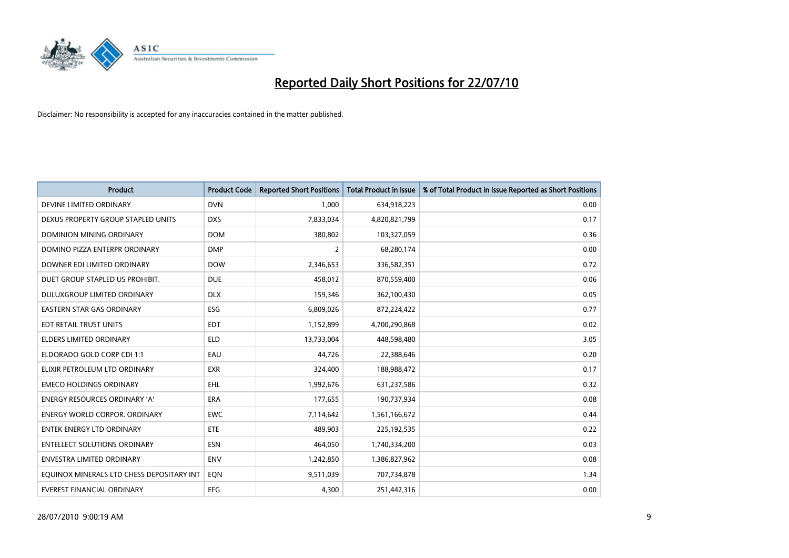

| <b>Product</b>                            | <b>Product Code</b> | <b>Reported Short Positions</b> | <b>Total Product in Issue</b> | % of Total Product in Issue Reported as Short Positions |
|-------------------------------------------|---------------------|---------------------------------|-------------------------------|---------------------------------------------------------|
| DEVINE LIMITED ORDINARY                   | <b>DVN</b>          | 1,000                           | 634,918,223                   | 0.00                                                    |
| DEXUS PROPERTY GROUP STAPLED UNITS        | <b>DXS</b>          | 7,833,034                       | 4,820,821,799                 | 0.17                                                    |
| <b>DOMINION MINING ORDINARY</b>           | <b>DOM</b>          | 380,802                         | 103,327,059                   | 0.36                                                    |
| DOMINO PIZZA ENTERPR ORDINARY             | <b>DMP</b>          | $\overline{2}$                  | 68,280,174                    | 0.00                                                    |
| DOWNER EDI LIMITED ORDINARY               | <b>DOW</b>          | 2,346,653                       | 336,582,351                   | 0.72                                                    |
| DUET GROUP STAPLED US PROHIBIT.           | <b>DUE</b>          | 458,012                         | 870,559,400                   | 0.06                                                    |
| DULUXGROUP LIMITED ORDINARY               | <b>DLX</b>          | 159.346                         | 362,100,430                   | 0.05                                                    |
| <b>EASTERN STAR GAS ORDINARY</b>          | ESG                 | 6,809,026                       | 872,224,422                   | 0.77                                                    |
| EDT RETAIL TRUST UNITS                    | <b>EDT</b>          | 1,152,899                       | 4,700,290,868                 | 0.02                                                    |
| <b>ELDERS LIMITED ORDINARY</b>            | <b>ELD</b>          | 13,733,004                      | 448,598,480                   | 3.05                                                    |
| ELDORADO GOLD CORP CDI 1:1                | EAU                 | 44,726                          | 22,388,646                    | 0.20                                                    |
| ELIXIR PETROLEUM LTD ORDINARY             | <b>EXR</b>          | 324,400                         | 188,988,472                   | 0.17                                                    |
| <b>EMECO HOLDINGS ORDINARY</b>            | <b>EHL</b>          | 1,992,676                       | 631,237,586                   | 0.32                                                    |
| <b>ENERGY RESOURCES ORDINARY 'A'</b>      | <b>ERA</b>          | 177,655                         | 190,737,934                   | 0.08                                                    |
| <b>ENERGY WORLD CORPOR, ORDINARY</b>      | <b>EWC</b>          | 7,114,642                       | 1,561,166,672                 | 0.44                                                    |
| <b>ENTEK ENERGY LTD ORDINARY</b>          | ETE                 | 489.903                         | 225,192,535                   | 0.22                                                    |
| <b>ENTELLECT SOLUTIONS ORDINARY</b>       | <b>ESN</b>          | 464,050                         | 1,740,334,200                 | 0.03                                                    |
| <b>ENVESTRA LIMITED ORDINARY</b>          | <b>ENV</b>          | 1,242,850                       | 1,386,827,962                 | 0.08                                                    |
| EQUINOX MINERALS LTD CHESS DEPOSITARY INT | EON                 | 9,511,039                       | 707,734,878                   | 1.34                                                    |
| EVEREST FINANCIAL ORDINARY                | <b>EFG</b>          | 4.300                           | 251,442,316                   | 0.00                                                    |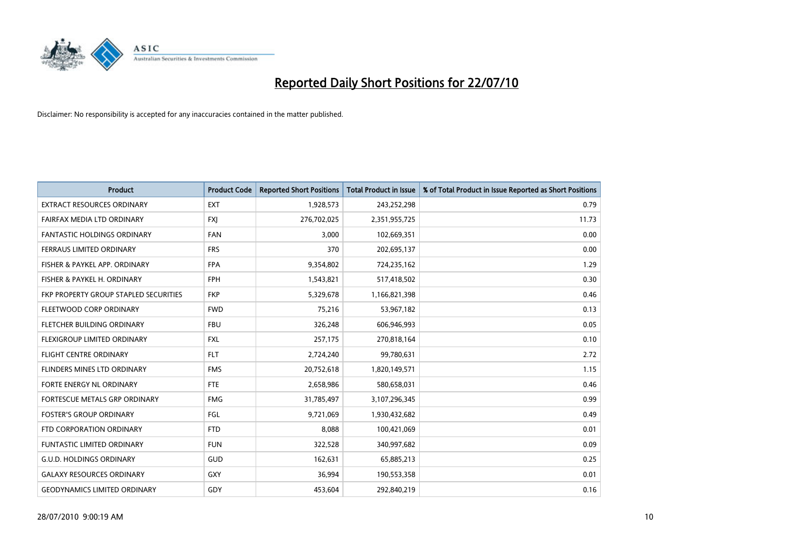

| <b>Product</b>                        | <b>Product Code</b> | <b>Reported Short Positions</b> | <b>Total Product in Issue</b> | % of Total Product in Issue Reported as Short Positions |
|---------------------------------------|---------------------|---------------------------------|-------------------------------|---------------------------------------------------------|
| <b>EXTRACT RESOURCES ORDINARY</b>     | <b>EXT</b>          | 1,928,573                       | 243,252,298                   | 0.79                                                    |
| FAIRFAX MEDIA LTD ORDINARY            | <b>FXI</b>          | 276,702,025                     | 2,351,955,725                 | 11.73                                                   |
| FANTASTIC HOLDINGS ORDINARY           | <b>FAN</b>          | 3,000                           | 102,669,351                   | 0.00                                                    |
| FERRAUS LIMITED ORDINARY              | <b>FRS</b>          | 370                             | 202,695,137                   | 0.00                                                    |
| FISHER & PAYKEL APP. ORDINARY         | <b>FPA</b>          | 9,354,802                       | 724,235,162                   | 1.29                                                    |
| FISHER & PAYKEL H. ORDINARY           | <b>FPH</b>          | 1,543,821                       | 517,418,502                   | 0.30                                                    |
| FKP PROPERTY GROUP STAPLED SECURITIES | <b>FKP</b>          | 5,329,678                       | 1,166,821,398                 | 0.46                                                    |
| FLEETWOOD CORP ORDINARY               | <b>FWD</b>          | 75,216                          | 53,967,182                    | 0.13                                                    |
| FLETCHER BUILDING ORDINARY            | <b>FBU</b>          | 326,248                         | 606,946,993                   | 0.05                                                    |
| FLEXIGROUP LIMITED ORDINARY           | <b>FXL</b>          | 257,175                         | 270,818,164                   | 0.10                                                    |
| FLIGHT CENTRE ORDINARY                | <b>FLT</b>          | 2,724,240                       | 99,780,631                    | 2.72                                                    |
| FLINDERS MINES LTD ORDINARY           | <b>FMS</b>          | 20,752,618                      | 1,820,149,571                 | 1.15                                                    |
| FORTE ENERGY NL ORDINARY              | <b>FTE</b>          | 2,658,986                       | 580,658,031                   | 0.46                                                    |
| FORTESCUE METALS GRP ORDINARY         | <b>FMG</b>          | 31,785,497                      | 3,107,296,345                 | 0.99                                                    |
| <b>FOSTER'S GROUP ORDINARY</b>        | FGL                 | 9,721,069                       | 1,930,432,682                 | 0.49                                                    |
| FTD CORPORATION ORDINARY              | <b>FTD</b>          | 8,088                           | 100,421,069                   | 0.01                                                    |
| FUNTASTIC LIMITED ORDINARY            | <b>FUN</b>          | 322,528                         | 340,997,682                   | 0.09                                                    |
| <b>G.U.D. HOLDINGS ORDINARY</b>       | <b>GUD</b>          | 162,631                         | 65,885,213                    | 0.25                                                    |
| <b>GALAXY RESOURCES ORDINARY</b>      | <b>GXY</b>          | 36,994                          | 190,553,358                   | 0.01                                                    |
| <b>GEODYNAMICS LIMITED ORDINARY</b>   | GDY                 | 453,604                         | 292,840,219                   | 0.16                                                    |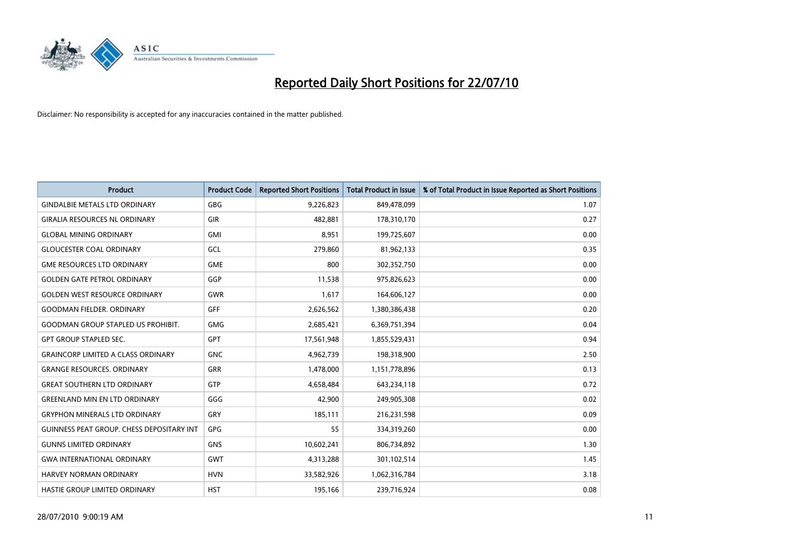

| <b>Product</b>                            | <b>Product Code</b> | <b>Reported Short Positions</b> | Total Product in Issue | % of Total Product in Issue Reported as Short Positions |
|-------------------------------------------|---------------------|---------------------------------|------------------------|---------------------------------------------------------|
| <b>GINDALBIE METALS LTD ORDINARY</b>      | <b>GBG</b>          | 9,226,823                       | 849,478,099            | 1.07                                                    |
| <b>GIRALIA RESOURCES NL ORDINARY</b>      | <b>GIR</b>          | 482.881                         | 178,310,170            | 0.27                                                    |
| <b>GLOBAL MINING ORDINARY</b>             | <b>GMI</b>          | 8,951                           | 199,725,607            | 0.00                                                    |
| <b>GLOUCESTER COAL ORDINARY</b>           | GCL                 | 279,860                         | 81,962,133             | 0.35                                                    |
| <b>GME RESOURCES LTD ORDINARY</b>         | <b>GME</b>          | 800                             | 302,352,750            | 0.00                                                    |
| <b>GOLDEN GATE PETROL ORDINARY</b>        | GGP                 | 11,538                          | 975,826,623            | 0.00                                                    |
| <b>GOLDEN WEST RESOURCE ORDINARY</b>      | <b>GWR</b>          | 1,617                           | 164,606,127            | 0.00                                                    |
| <b>GOODMAN FIELDER, ORDINARY</b>          | GFF                 | 2,626,562                       | 1,380,386,438          | 0.20                                                    |
| <b>GOODMAN GROUP STAPLED US PROHIBIT.</b> | <b>GMG</b>          | 2,685,421                       | 6,369,751,394          | 0.04                                                    |
| <b>GPT GROUP STAPLED SEC.</b>             | <b>GPT</b>          | 17,561,948                      | 1,855,529,431          | 0.94                                                    |
| <b>GRAINCORP LIMITED A CLASS ORDINARY</b> | <b>GNC</b>          | 4,962,739                       | 198,318,900            | 2.50                                                    |
| <b>GRANGE RESOURCES, ORDINARY</b>         | <b>GRR</b>          | 1,478,000                       | 1,151,778,896          | 0.13                                                    |
| <b>GREAT SOUTHERN LTD ORDINARY</b>        | GTP                 | 4.658.484                       | 643,234,118            | 0.72                                                    |
| <b>GREENLAND MIN EN LTD ORDINARY</b>      | GGG                 | 42.900                          | 249,905,308            | 0.02                                                    |
| <b>GRYPHON MINERALS LTD ORDINARY</b>      | GRY                 | 185,111                         | 216,231,598            | 0.09                                                    |
| GUINNESS PEAT GROUP. CHESS DEPOSITARY INT | GPG                 | 55                              | 334,319,260            | 0.00                                                    |
| <b>GUNNS LIMITED ORDINARY</b>             | <b>GNS</b>          | 10,602,241                      | 806,734,892            | 1.30                                                    |
| <b>GWA INTERNATIONAL ORDINARY</b>         | <b>GWT</b>          | 4,313,288                       | 301,102,514            | 1.45                                                    |
| HARVEY NORMAN ORDINARY                    | <b>HVN</b>          | 33,582,926                      | 1,062,316,784          | 3.18                                                    |
| <b>HASTIE GROUP LIMITED ORDINARY</b>      | <b>HST</b>          | 195,166                         | 239,716,924            | 0.08                                                    |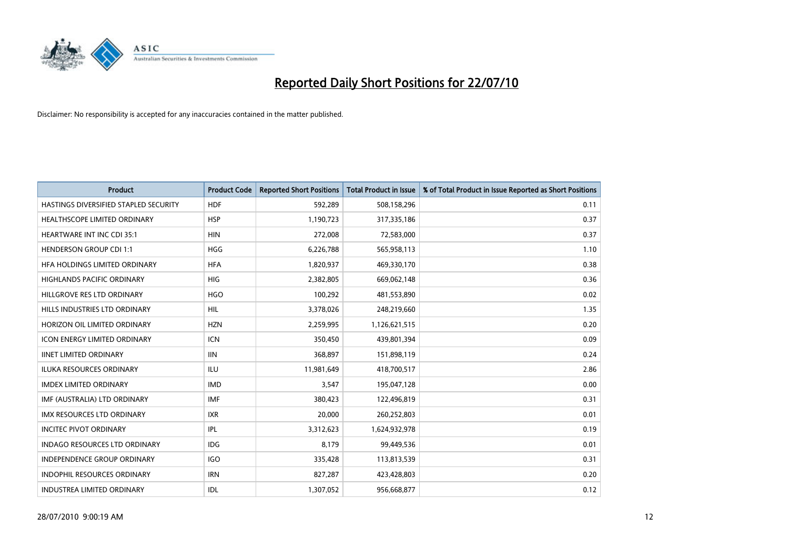

| <b>Product</b>                        | <b>Product Code</b> | <b>Reported Short Positions</b> | <b>Total Product in Issue</b> | % of Total Product in Issue Reported as Short Positions |
|---------------------------------------|---------------------|---------------------------------|-------------------------------|---------------------------------------------------------|
| HASTINGS DIVERSIFIED STAPLED SECURITY | <b>HDF</b>          | 592,289                         | 508,158,296                   | 0.11                                                    |
| HEALTHSCOPE LIMITED ORDINARY          | <b>HSP</b>          | 1,190,723                       | 317,335,186                   | 0.37                                                    |
| <b>HEARTWARE INT INC CDI 35:1</b>     | <b>HIN</b>          | 272,008                         | 72,583,000                    | 0.37                                                    |
| <b>HENDERSON GROUP CDI 1:1</b>        | <b>HGG</b>          | 6,226,788                       | 565,958,113                   | 1.10                                                    |
| HFA HOLDINGS LIMITED ORDINARY         | <b>HFA</b>          | 1,820,937                       | 469,330,170                   | 0.38                                                    |
| <b>HIGHLANDS PACIFIC ORDINARY</b>     | <b>HIG</b>          | 2,382,805                       | 669,062,148                   | 0.36                                                    |
| HILLGROVE RES LTD ORDINARY            | <b>HGO</b>          | 100,292                         | 481,553,890                   | 0.02                                                    |
| HILLS INDUSTRIES LTD ORDINARY         | <b>HIL</b>          | 3,378,026                       | 248,219,660                   | 1.35                                                    |
| HORIZON OIL LIMITED ORDINARY          | <b>HZN</b>          | 2,259,995                       | 1,126,621,515                 | 0.20                                                    |
| <b>ICON ENERGY LIMITED ORDINARY</b>   | <b>ICN</b>          | 350,450                         | 439,801,394                   | 0.09                                                    |
| <b>IINET LIMITED ORDINARY</b>         | <b>IIN</b>          | 368,897                         | 151,898,119                   | 0.24                                                    |
| <b>ILUKA RESOURCES ORDINARY</b>       | <b>ILU</b>          | 11,981,649                      | 418,700,517                   | 2.86                                                    |
| <b>IMDEX LIMITED ORDINARY</b>         | <b>IMD</b>          | 3,547                           | 195,047,128                   | 0.00                                                    |
| IMF (AUSTRALIA) LTD ORDINARY          | IMF                 | 380,423                         | 122,496,819                   | 0.31                                                    |
| <b>IMX RESOURCES LTD ORDINARY</b>     | <b>IXR</b>          | 20,000                          | 260,252,803                   | 0.01                                                    |
| <b>INCITEC PIVOT ORDINARY</b>         | <b>IPL</b>          | 3,312,623                       | 1,624,932,978                 | 0.19                                                    |
| INDAGO RESOURCES LTD ORDINARY         | IDG                 | 8,179                           | 99,449,536                    | 0.01                                                    |
| INDEPENDENCE GROUP ORDINARY           | <b>IGO</b>          | 335,428                         | 113,813,539                   | 0.31                                                    |
| <b>INDOPHIL RESOURCES ORDINARY</b>    | <b>IRN</b>          | 827,287                         | 423,428,803                   | 0.20                                                    |
| INDUSTREA LIMITED ORDINARY            | IDL                 | 1,307,052                       | 956,668,877                   | 0.12                                                    |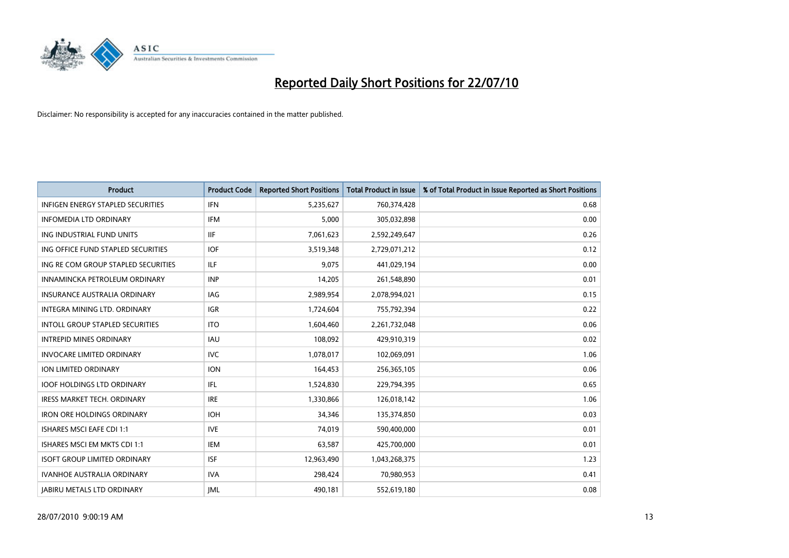

| <b>Product</b>                           | <b>Product Code</b> | <b>Reported Short Positions</b> | <b>Total Product in Issue</b> | % of Total Product in Issue Reported as Short Positions |
|------------------------------------------|---------------------|---------------------------------|-------------------------------|---------------------------------------------------------|
| <b>INFIGEN ENERGY STAPLED SECURITIES</b> | <b>IFN</b>          | 5,235,627                       | 760,374,428                   | 0.68                                                    |
| <b>INFOMEDIA LTD ORDINARY</b>            | <b>IFM</b>          | 5,000                           | 305,032,898                   | 0.00                                                    |
| ING INDUSTRIAL FUND UNITS                | <b>IIF</b>          | 7,061,623                       | 2,592,249,647                 | 0.26                                                    |
| ING OFFICE FUND STAPLED SECURITIES       | <b>IOF</b>          | 3,519,348                       | 2,729,071,212                 | 0.12                                                    |
| ING RE COM GROUP STAPLED SECURITIES      | <b>ILF</b>          | 9.075                           | 441,029,194                   | 0.00                                                    |
| INNAMINCKA PETROLEUM ORDINARY            | <b>INP</b>          | 14,205                          | 261,548,890                   | 0.01                                                    |
| <b>INSURANCE AUSTRALIA ORDINARY</b>      | <b>IAG</b>          | 2,989,954                       | 2,078,994,021                 | 0.15                                                    |
| <b>INTEGRA MINING LTD, ORDINARY</b>      | <b>IGR</b>          | 1,724,604                       | 755,792,394                   | 0.22                                                    |
| INTOLL GROUP STAPLED SECURITIES          | <b>ITO</b>          | 1,604,460                       | 2,261,732,048                 | 0.06                                                    |
| <b>INTREPID MINES ORDINARY</b>           | <b>IAU</b>          | 108,092                         | 429,910,319                   | 0.02                                                    |
| <b>INVOCARE LIMITED ORDINARY</b>         | <b>IVC</b>          | 1,078,017                       | 102,069,091                   | 1.06                                                    |
| ION LIMITED ORDINARY                     | <b>ION</b>          | 164,453                         | 256,365,105                   | 0.06                                                    |
| <b>IOOF HOLDINGS LTD ORDINARY</b>        | <b>IFL</b>          | 1,524,830                       | 229,794,395                   | 0.65                                                    |
| <b>IRESS MARKET TECH. ORDINARY</b>       | <b>IRE</b>          | 1,330,866                       | 126,018,142                   | 1.06                                                    |
| <b>IRON ORE HOLDINGS ORDINARY</b>        | <b>IOH</b>          | 34,346                          | 135,374,850                   | 0.03                                                    |
| <b>ISHARES MSCI EAFE CDI 1:1</b>         | <b>IVE</b>          | 74,019                          | 590,400,000                   | 0.01                                                    |
| ISHARES MSCI EM MKTS CDI 1:1             | <b>IEM</b>          | 63,587                          | 425,700,000                   | 0.01                                                    |
| <b>ISOFT GROUP LIMITED ORDINARY</b>      | <b>ISF</b>          | 12,963,490                      | 1,043,268,375                 | 1.23                                                    |
| <b>IVANHOE AUSTRALIA ORDINARY</b>        | <b>IVA</b>          | 298,424                         | 70,980,953                    | 0.41                                                    |
| <b>JABIRU METALS LTD ORDINARY</b>        | <b>IML</b>          | 490.181                         | 552,619,180                   | 0.08                                                    |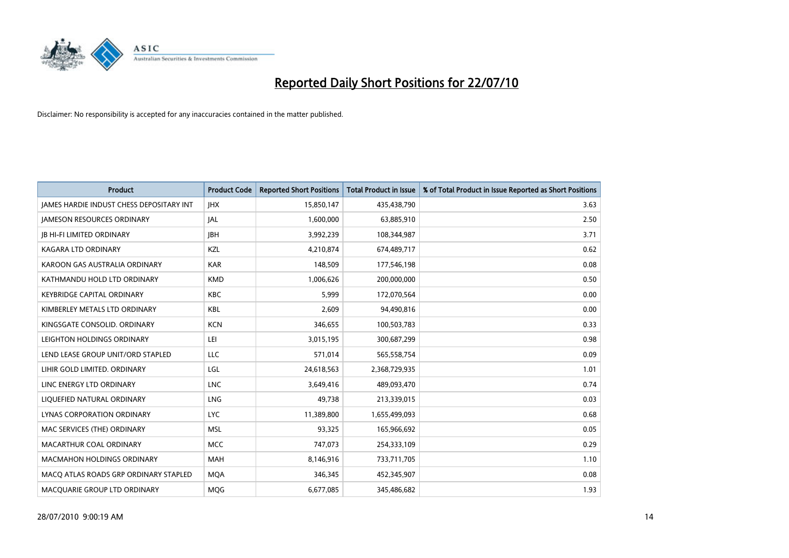

| <b>Product</b>                                  | <b>Product Code</b> | <b>Reported Short Positions</b> | <b>Total Product in Issue</b> | % of Total Product in Issue Reported as Short Positions |
|-------------------------------------------------|---------------------|---------------------------------|-------------------------------|---------------------------------------------------------|
| <b>JAMES HARDIE INDUST CHESS DEPOSITARY INT</b> | <b>IHX</b>          | 15,850,147                      | 435,438,790                   | 3.63                                                    |
| <b>JAMESON RESOURCES ORDINARY</b>               | <b>JAL</b>          | 1,600,000                       | 63,885,910                    | 2.50                                                    |
| <b>IB HI-FI LIMITED ORDINARY</b>                | <b>IBH</b>          | 3,992,239                       | 108,344,987                   | 3.71                                                    |
| KAGARA LTD ORDINARY                             | KZL                 | 4,210,874                       | 674,489,717                   | 0.62                                                    |
| KAROON GAS AUSTRALIA ORDINARY                   | <b>KAR</b>          | 148,509                         | 177,546,198                   | 0.08                                                    |
| KATHMANDU HOLD LTD ORDINARY                     | <b>KMD</b>          | 1,006,626                       | 200,000,000                   | 0.50                                                    |
| <b>KEYBRIDGE CAPITAL ORDINARY</b>               | <b>KBC</b>          | 5.999                           | 172,070,564                   | 0.00                                                    |
| KIMBERLEY METALS LTD ORDINARY                   | <b>KBL</b>          | 2,609                           | 94,490,816                    | 0.00                                                    |
| KINGSGATE CONSOLID. ORDINARY                    | <b>KCN</b>          | 346,655                         | 100,503,783                   | 0.33                                                    |
| LEIGHTON HOLDINGS ORDINARY                      | LEI                 | 3,015,195                       | 300,687,299                   | 0.98                                                    |
| LEND LEASE GROUP UNIT/ORD STAPLED               | LLC                 | 571,014                         | 565,558,754                   | 0.09                                                    |
| LIHIR GOLD LIMITED. ORDINARY                    | LGL                 | 24,618,563                      | 2,368,729,935                 | 1.01                                                    |
| LINC ENERGY LTD ORDINARY                        | <b>LNC</b>          | 3,649,416                       | 489,093,470                   | 0.74                                                    |
| LIQUEFIED NATURAL ORDINARY                      | <b>LNG</b>          | 49,738                          | 213,339,015                   | 0.03                                                    |
| LYNAS CORPORATION ORDINARY                      | <b>LYC</b>          | 11,389,800                      | 1,655,499,093                 | 0.68                                                    |
| MAC SERVICES (THE) ORDINARY                     | <b>MSL</b>          | 93,325                          | 165,966,692                   | 0.05                                                    |
| MACARTHUR COAL ORDINARY                         | <b>MCC</b>          | 747,073                         | 254,333,109                   | 0.29                                                    |
| <b>MACMAHON HOLDINGS ORDINARY</b>               | <b>MAH</b>          | 8,146,916                       | 733,711,705                   | 1.10                                                    |
| MACO ATLAS ROADS GRP ORDINARY STAPLED           | <b>MOA</b>          | 346,345                         | 452,345,907                   | 0.08                                                    |
| MACQUARIE GROUP LTD ORDINARY                    | <b>MOG</b>          | 6,677,085                       | 345,486,682                   | 1.93                                                    |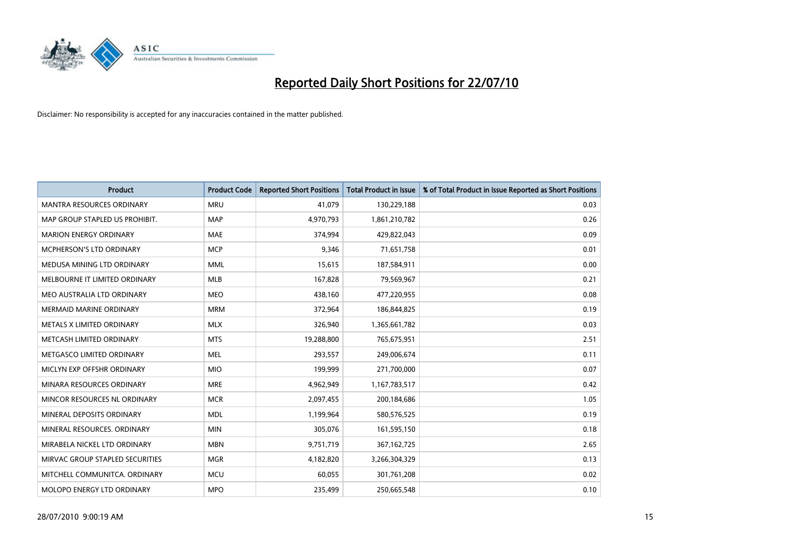

| <b>Product</b>                   | <b>Product Code</b> | <b>Reported Short Positions</b> | <b>Total Product in Issue</b> | % of Total Product in Issue Reported as Short Positions |
|----------------------------------|---------------------|---------------------------------|-------------------------------|---------------------------------------------------------|
| <b>MANTRA RESOURCES ORDINARY</b> | <b>MRU</b>          | 41.079                          | 130,229,188                   | 0.03                                                    |
| MAP GROUP STAPLED US PROHIBIT.   | <b>MAP</b>          | 4,970,793                       | 1,861,210,782                 | 0.26                                                    |
| <b>MARION ENERGY ORDINARY</b>    | <b>MAE</b>          | 374.994                         | 429,822,043                   | 0.09                                                    |
| MCPHERSON'S LTD ORDINARY         | <b>MCP</b>          | 9,346                           | 71,651,758                    | 0.01                                                    |
| MEDUSA MINING LTD ORDINARY       | <b>MML</b>          | 15,615                          | 187,584,911                   | 0.00                                                    |
| MELBOURNE IT LIMITED ORDINARY    | <b>MLB</b>          | 167,828                         | 79,569,967                    | 0.21                                                    |
| MEO AUSTRALIA LTD ORDINARY       | <b>MEO</b>          | 438,160                         | 477,220,955                   | 0.08                                                    |
| <b>MERMAID MARINE ORDINARY</b>   | <b>MRM</b>          | 372,964                         | 186,844,825                   | 0.19                                                    |
| METALS X LIMITED ORDINARY        | <b>MLX</b>          | 326,940                         | 1,365,661,782                 | 0.03                                                    |
| METCASH LIMITED ORDINARY         | <b>MTS</b>          | 19,288,800                      | 765,675,951                   | 2.51                                                    |
| METGASCO LIMITED ORDINARY        | <b>MEL</b>          | 293,557                         | 249,006,674                   | 0.11                                                    |
| MICLYN EXP OFFSHR ORDINARY       | <b>MIO</b>          | 199,999                         | 271,700,000                   | 0.07                                                    |
| MINARA RESOURCES ORDINARY        | <b>MRE</b>          | 4,962,949                       | 1,167,783,517                 | 0.42                                                    |
| MINCOR RESOURCES NL ORDINARY     | <b>MCR</b>          | 2,097,455                       | 200,184,686                   | 1.05                                                    |
| MINERAL DEPOSITS ORDINARY        | <b>MDL</b>          | 1,199,964                       | 580,576,525                   | 0.19                                                    |
| MINERAL RESOURCES, ORDINARY      | <b>MIN</b>          | 305,076                         | 161,595,150                   | 0.18                                                    |
| MIRABELA NICKEL LTD ORDINARY     | <b>MBN</b>          | 9,751,719                       | 367, 162, 725                 | 2.65                                                    |
| MIRVAC GROUP STAPLED SECURITIES  | <b>MGR</b>          | 4,182,820                       | 3,266,304,329                 | 0.13                                                    |
| MITCHELL COMMUNITCA, ORDINARY    | <b>MCU</b>          | 60,055                          | 301,761,208                   | 0.02                                                    |
| MOLOPO ENERGY LTD ORDINARY       | <b>MPO</b>          | 235,499                         | 250,665,548                   | 0.10                                                    |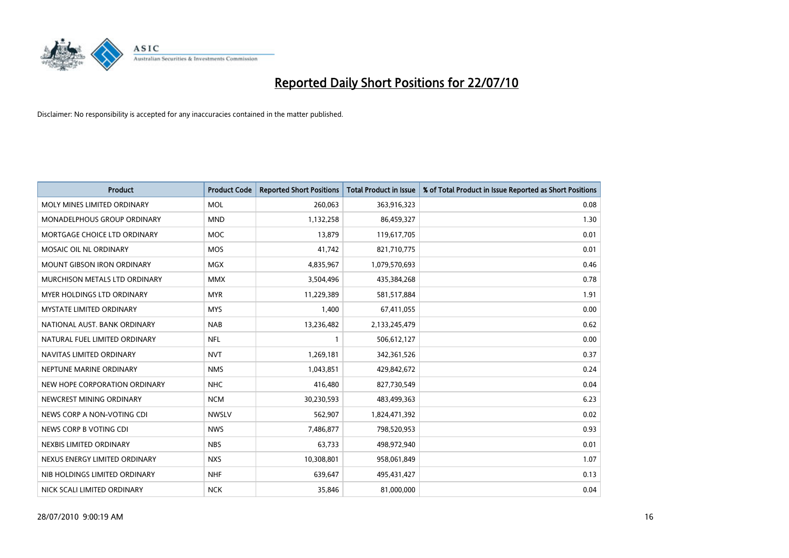

| <b>Product</b>                    | <b>Product Code</b> | <b>Reported Short Positions</b> | <b>Total Product in Issue</b> | % of Total Product in Issue Reported as Short Positions |
|-----------------------------------|---------------------|---------------------------------|-------------------------------|---------------------------------------------------------|
| MOLY MINES LIMITED ORDINARY       | <b>MOL</b>          | 260,063                         | 363,916,323                   | 0.08                                                    |
| MONADELPHOUS GROUP ORDINARY       | <b>MND</b>          | 1,132,258                       | 86,459,327                    | 1.30                                                    |
| MORTGAGE CHOICE LTD ORDINARY      | <b>MOC</b>          | 13,879                          | 119,617,705                   | 0.01                                                    |
| MOSAIC OIL NL ORDINARY            | <b>MOS</b>          | 41,742                          | 821,710,775                   | 0.01                                                    |
| <b>MOUNT GIBSON IRON ORDINARY</b> | <b>MGX</b>          | 4,835,967                       | 1,079,570,693                 | 0.46                                                    |
| MURCHISON METALS LTD ORDINARY     | <b>MMX</b>          | 3,504,496                       | 435,384,268                   | 0.78                                                    |
| MYER HOLDINGS LTD ORDINARY        | <b>MYR</b>          | 11,229,389                      | 581,517,884                   | 1.91                                                    |
| MYSTATE LIMITED ORDINARY          | <b>MYS</b>          | 1,400                           | 67,411,055                    | 0.00                                                    |
| NATIONAL AUST, BANK ORDINARY      | <b>NAB</b>          | 13,236,482                      | 2,133,245,479                 | 0.62                                                    |
| NATURAL FUEL LIMITED ORDINARY     | <b>NFL</b>          | $\mathbf{1}$                    | 506,612,127                   | 0.00                                                    |
| NAVITAS LIMITED ORDINARY          | <b>NVT</b>          | 1,269,181                       | 342,361,526                   | 0.37                                                    |
| NEPTUNE MARINE ORDINARY           | <b>NMS</b>          | 1,043,851                       | 429,842,672                   | 0.24                                                    |
| NEW HOPE CORPORATION ORDINARY     | <b>NHC</b>          | 416,480                         | 827,730,549                   | 0.04                                                    |
| NEWCREST MINING ORDINARY          | <b>NCM</b>          | 30,230,593                      | 483,499,363                   | 6.23                                                    |
| NEWS CORP A NON-VOTING CDI        | <b>NWSLV</b>        | 562,907                         | 1,824,471,392                 | 0.02                                                    |
| NEWS CORP B VOTING CDI            | <b>NWS</b>          | 7,486,877                       | 798,520,953                   | 0.93                                                    |
| NEXBIS LIMITED ORDINARY           | <b>NBS</b>          | 63,733                          | 498,972,940                   | 0.01                                                    |
| NEXUS ENERGY LIMITED ORDINARY     | <b>NXS</b>          | 10,308,801                      | 958,061,849                   | 1.07                                                    |
| NIB HOLDINGS LIMITED ORDINARY     | <b>NHF</b>          | 639,647                         | 495,431,427                   | 0.13                                                    |
| NICK SCALI LIMITED ORDINARY       | <b>NCK</b>          | 35,846                          | 81,000,000                    | 0.04                                                    |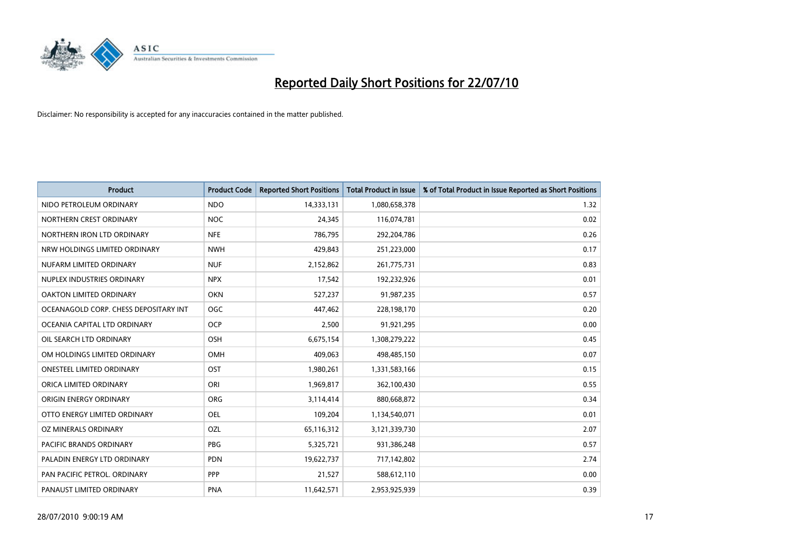

| <b>Product</b>                        | <b>Product Code</b> | <b>Reported Short Positions</b> | <b>Total Product in Issue</b> | % of Total Product in Issue Reported as Short Positions |
|---------------------------------------|---------------------|---------------------------------|-------------------------------|---------------------------------------------------------|
| NIDO PETROLEUM ORDINARY               | <b>NDO</b>          | 14,333,131                      | 1,080,658,378                 | 1.32                                                    |
| NORTHERN CREST ORDINARY               | <b>NOC</b>          | 24,345                          | 116,074,781                   | 0.02                                                    |
| NORTHERN IRON LTD ORDINARY            | <b>NFE</b>          | 786,795                         | 292,204,786                   | 0.26                                                    |
| NRW HOLDINGS LIMITED ORDINARY         | <b>NWH</b>          | 429,843                         | 251,223,000                   | 0.17                                                    |
| NUFARM LIMITED ORDINARY               | <b>NUF</b>          | 2,152,862                       | 261,775,731                   | 0.83                                                    |
| NUPLEX INDUSTRIES ORDINARY            | <b>NPX</b>          | 17,542                          | 192,232,926                   | 0.01                                                    |
| OAKTON LIMITED ORDINARY               | <b>OKN</b>          | 527,237                         | 91,987,235                    | 0.57                                                    |
| OCEANAGOLD CORP. CHESS DEPOSITARY INT | <b>OGC</b>          | 447,462                         | 228,198,170                   | 0.20                                                    |
| OCEANIA CAPITAL LTD ORDINARY          | <b>OCP</b>          | 2,500                           | 91,921,295                    | 0.00                                                    |
| OIL SEARCH LTD ORDINARY               | <b>OSH</b>          | 6,675,154                       | 1,308,279,222                 | 0.45                                                    |
| OM HOLDINGS LIMITED ORDINARY          | <b>OMH</b>          | 409,063                         | 498,485,150                   | 0.07                                                    |
| <b>ONESTEEL LIMITED ORDINARY</b>      | OST                 | 1,980,261                       | 1,331,583,166                 | 0.15                                                    |
| ORICA LIMITED ORDINARY                | ORI                 | 1,969,817                       | 362,100,430                   | 0.55                                                    |
| ORIGIN ENERGY ORDINARY                | ORG                 | 3,114,414                       | 880,668,872                   | 0.34                                                    |
| OTTO ENERGY LIMITED ORDINARY          | <b>OEL</b>          | 109,204                         | 1,134,540,071                 | 0.01                                                    |
| OZ MINERALS ORDINARY                  | OZL                 | 65,116,312                      | 3,121,339,730                 | 2.07                                                    |
| PACIFIC BRANDS ORDINARY               | PBG                 | 5,325,721                       | 931,386,248                   | 0.57                                                    |
| PALADIN ENERGY LTD ORDINARY           | <b>PDN</b>          | 19,622,737                      | 717,142,802                   | 2.74                                                    |
| PAN PACIFIC PETROL. ORDINARY          | PPP                 | 21,527                          | 588,612,110                   | 0.00                                                    |
| PANAUST LIMITED ORDINARY              | <b>PNA</b>          | 11,642,571                      | 2,953,925,939                 | 0.39                                                    |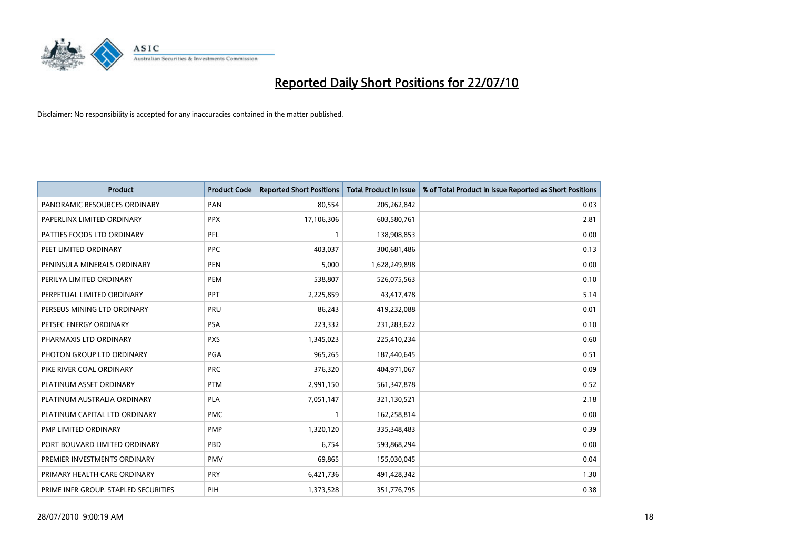

| <b>Product</b>                       | <b>Product Code</b> | <b>Reported Short Positions</b> | <b>Total Product in Issue</b> | % of Total Product in Issue Reported as Short Positions |
|--------------------------------------|---------------------|---------------------------------|-------------------------------|---------------------------------------------------------|
| PANORAMIC RESOURCES ORDINARY         | PAN                 | 80,554                          | 205,262,842                   | 0.03                                                    |
| PAPERLINX LIMITED ORDINARY           | <b>PPX</b>          | 17,106,306                      | 603,580,761                   | 2.81                                                    |
| PATTIES FOODS LTD ORDINARY           | PFL                 |                                 | 138,908,853                   | 0.00                                                    |
| PEET LIMITED ORDINARY                | <b>PPC</b>          | 403,037                         | 300,681,486                   | 0.13                                                    |
| PENINSULA MINERALS ORDINARY          | <b>PEN</b>          | 5,000                           | 1,628,249,898                 | 0.00                                                    |
| PERILYA LIMITED ORDINARY             | PEM                 | 538,807                         | 526,075,563                   | 0.10                                                    |
| PERPETUAL LIMITED ORDINARY           | PPT                 | 2,225,859                       | 43,417,478                    | 5.14                                                    |
| PERSEUS MINING LTD ORDINARY          | PRU                 | 86,243                          | 419,232,088                   | 0.01                                                    |
| PETSEC ENERGY ORDINARY               | <b>PSA</b>          | 223,332                         | 231,283,622                   | 0.10                                                    |
| PHARMAXIS LTD ORDINARY               | <b>PXS</b>          | 1,345,023                       | 225,410,234                   | 0.60                                                    |
| PHOTON GROUP LTD ORDINARY            | PGA                 | 965,265                         | 187,440,645                   | 0.51                                                    |
| PIKE RIVER COAL ORDINARY             | <b>PRC</b>          | 376,320                         | 404,971,067                   | 0.09                                                    |
| PLATINUM ASSET ORDINARY              | <b>PTM</b>          | 2,991,150                       | 561,347,878                   | 0.52                                                    |
| PLATINUM AUSTRALIA ORDINARY          | PLA                 | 7,051,147                       | 321,130,521                   | 2.18                                                    |
| PLATINUM CAPITAL LTD ORDINARY        | <b>PMC</b>          |                                 | 162,258,814                   | 0.00                                                    |
| PMP LIMITED ORDINARY                 | PMP                 | 1,320,120                       | 335,348,483                   | 0.39                                                    |
| PORT BOUVARD LIMITED ORDINARY        | PBD                 | 6,754                           | 593,868,294                   | 0.00                                                    |
| PREMIER INVESTMENTS ORDINARY         | <b>PMV</b>          | 69,865                          | 155,030,045                   | 0.04                                                    |
| PRIMARY HEALTH CARE ORDINARY         | <b>PRY</b>          | 6,421,736                       | 491,428,342                   | 1.30                                                    |
| PRIME INFR GROUP. STAPLED SECURITIES | PIH                 | 1,373,528                       | 351,776,795                   | 0.38                                                    |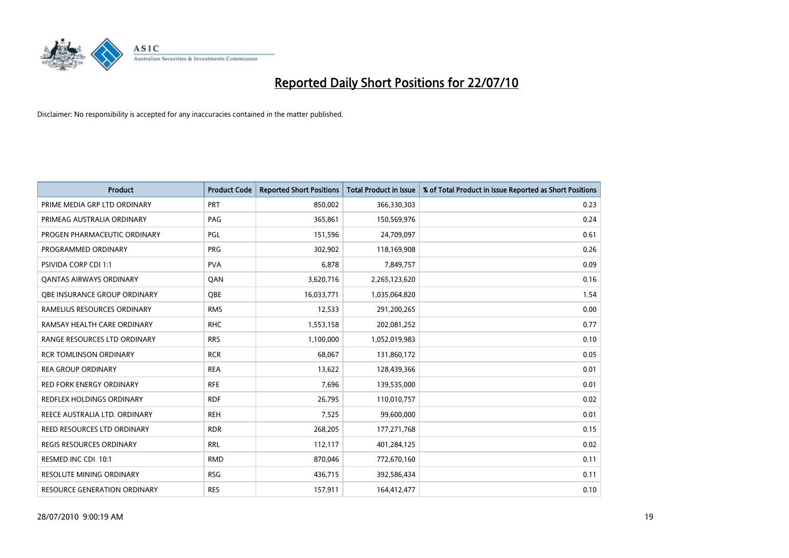

| <b>Product</b>                  | <b>Product Code</b> | <b>Reported Short Positions</b> | Total Product in Issue | % of Total Product in Issue Reported as Short Positions |
|---------------------------------|---------------------|---------------------------------|------------------------|---------------------------------------------------------|
| PRIME MEDIA GRP LTD ORDINARY    | <b>PRT</b>          | 850,002                         | 366,330,303            | 0.23                                                    |
| PRIMEAG AUSTRALIA ORDINARY      | PAG                 | 365,861                         | 150,569,976            | 0.24                                                    |
| PROGEN PHARMACEUTIC ORDINARY    | PGL                 | 151,596                         | 24,709,097             | 0.61                                                    |
| PROGRAMMED ORDINARY             | <b>PRG</b>          | 302,902                         | 118,169,908            | 0.26                                                    |
| PSIVIDA CORP CDI 1:1            | <b>PVA</b>          | 6,878                           | 7,849,757              | 0.09                                                    |
| <b>QANTAS AIRWAYS ORDINARY</b>  | QAN                 | 3,620,716                       | 2,265,123,620          | 0.16                                                    |
| OBE INSURANCE GROUP ORDINARY    | <b>OBE</b>          | 16,033,771                      | 1,035,064,820          | 1.54                                                    |
| RAMELIUS RESOURCES ORDINARY     | <b>RMS</b>          | 12,533                          | 291,200,265            | 0.00                                                    |
| RAMSAY HEALTH CARE ORDINARY     | <b>RHC</b>          | 1,553,158                       | 202,081,252            | 0.77                                                    |
| RANGE RESOURCES LTD ORDINARY    | <b>RRS</b>          | 1,100,000                       | 1,052,019,983          | 0.10                                                    |
| <b>RCR TOMLINSON ORDINARY</b>   | <b>RCR</b>          | 68,067                          | 131,860,172            | 0.05                                                    |
| <b>REA GROUP ORDINARY</b>       | <b>REA</b>          | 13,622                          | 128,439,366            | 0.01                                                    |
| RED FORK ENERGY ORDINARY        | <b>RFE</b>          | 7,696                           | 139,535,000            | 0.01                                                    |
| REDFLEX HOLDINGS ORDINARY       | <b>RDF</b>          | 26,795                          | 110,010,757            | 0.02                                                    |
| REECE AUSTRALIA LTD. ORDINARY   | <b>REH</b>          | 7,525                           | 99,600,000             | 0.01                                                    |
| REED RESOURCES LTD ORDINARY     | <b>RDR</b>          | 268,205                         | 177, 271, 768          | 0.15                                                    |
| REGIS RESOURCES ORDINARY        | <b>RRL</b>          | 112,117                         | 401,284,125            | 0.02                                                    |
| RESMED INC CDI 10:1             | <b>RMD</b>          | 870,046                         | 772,670,160            | 0.11                                                    |
| <b>RESOLUTE MINING ORDINARY</b> | <b>RSG</b>          | 436,715                         | 392,586,434            | 0.11                                                    |
| RESOURCE GENERATION ORDINARY    | <b>RES</b>          | 157,911                         | 164,412,477            | 0.10                                                    |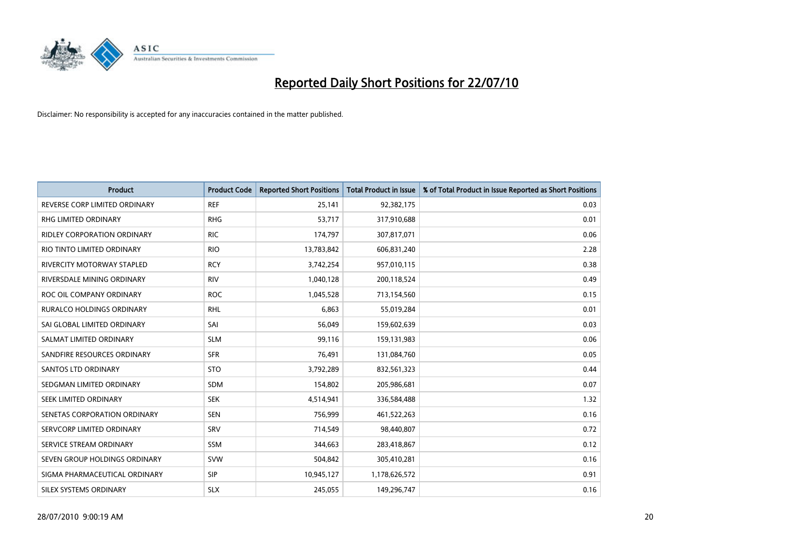

| <b>Product</b>                     | <b>Product Code</b> | <b>Reported Short Positions</b> | <b>Total Product in Issue</b> | % of Total Product in Issue Reported as Short Positions |
|------------------------------------|---------------------|---------------------------------|-------------------------------|---------------------------------------------------------|
| REVERSE CORP LIMITED ORDINARY      | <b>REF</b>          | 25,141                          | 92,382,175                    | 0.03                                                    |
| RHG LIMITED ORDINARY               | <b>RHG</b>          | 53,717                          | 317,910,688                   | 0.01                                                    |
| <b>RIDLEY CORPORATION ORDINARY</b> | <b>RIC</b>          | 174,797                         | 307,817,071                   | 0.06                                                    |
| RIO TINTO LIMITED ORDINARY         | <b>RIO</b>          | 13,783,842                      | 606,831,240                   | 2.28                                                    |
| <b>RIVERCITY MOTORWAY STAPLED</b>  | <b>RCY</b>          | 3,742,254                       | 957,010,115                   | 0.38                                                    |
| RIVERSDALE MINING ORDINARY         | <b>RIV</b>          | 1,040,128                       | 200,118,524                   | 0.49                                                    |
| ROC OIL COMPANY ORDINARY           | <b>ROC</b>          | 1,045,528                       | 713,154,560                   | 0.15                                                    |
| RURALCO HOLDINGS ORDINARY          | <b>RHL</b>          | 6,863                           | 55,019,284                    | 0.01                                                    |
| SAI GLOBAL LIMITED ORDINARY        | SAI                 | 56,049                          | 159,602,639                   | 0.03                                                    |
| SALMAT LIMITED ORDINARY            | <b>SLM</b>          | 99,116                          | 159,131,983                   | 0.06                                                    |
| SANDFIRE RESOURCES ORDINARY        | <b>SFR</b>          | 76,491                          | 131,084,760                   | 0.05                                                    |
| <b>SANTOS LTD ORDINARY</b>         | <b>STO</b>          | 3,792,289                       | 832,561,323                   | 0.44                                                    |
| SEDGMAN LIMITED ORDINARY           | <b>SDM</b>          | 154,802                         | 205,986,681                   | 0.07                                                    |
| SEEK LIMITED ORDINARY              | <b>SEK</b>          | 4,514,941                       | 336,584,488                   | 1.32                                                    |
| SENETAS CORPORATION ORDINARY       | <b>SEN</b>          | 756,999                         | 461,522,263                   | 0.16                                                    |
| SERVCORP LIMITED ORDINARY          | SRV                 | 714,549                         | 98,440,807                    | 0.72                                                    |
| SERVICE STREAM ORDINARY            | <b>SSM</b>          | 344,663                         | 283,418,867                   | 0.12                                                    |
| SEVEN GROUP HOLDINGS ORDINARY      | <b>SVW</b>          | 504,842                         | 305,410,281                   | 0.16                                                    |
| SIGMA PHARMACEUTICAL ORDINARY      | <b>SIP</b>          | 10,945,127                      | 1,178,626,572                 | 0.91                                                    |
| SILEX SYSTEMS ORDINARY             | <b>SLX</b>          | 245,055                         | 149,296,747                   | 0.16                                                    |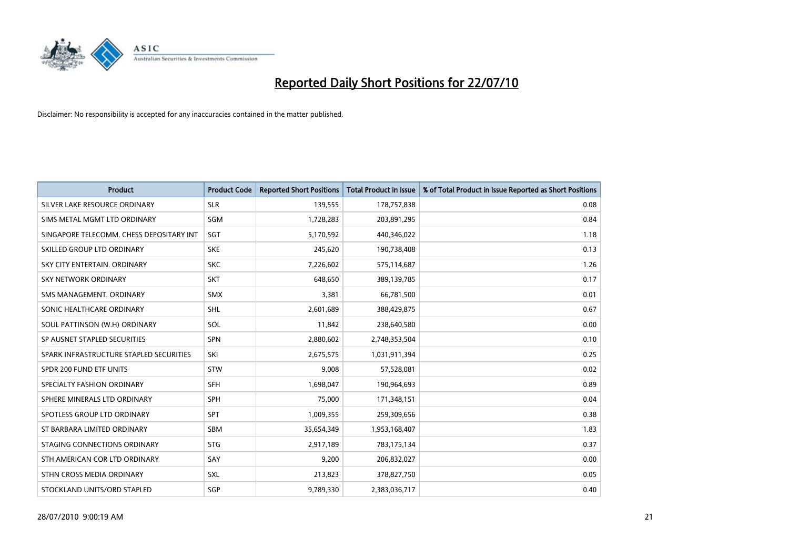

| <b>Product</b>                           | <b>Product Code</b> | <b>Reported Short Positions</b> | <b>Total Product in Issue</b> | % of Total Product in Issue Reported as Short Positions |
|------------------------------------------|---------------------|---------------------------------|-------------------------------|---------------------------------------------------------|
| SILVER LAKE RESOURCE ORDINARY            | <b>SLR</b>          | 139,555                         | 178,757,838                   | 0.08                                                    |
| SIMS METAL MGMT LTD ORDINARY             | <b>SGM</b>          | 1,728,283                       | 203,891,295                   | 0.84                                                    |
| SINGAPORE TELECOMM. CHESS DEPOSITARY INT | SGT                 | 5,170,592                       | 440,346,022                   | 1.18                                                    |
| SKILLED GROUP LTD ORDINARY               | <b>SKE</b>          | 245,620                         | 190,738,408                   | 0.13                                                    |
| SKY CITY ENTERTAIN, ORDINARY             | <b>SKC</b>          | 7,226,602                       | 575,114,687                   | 1.26                                                    |
| <b>SKY NETWORK ORDINARY</b>              | <b>SKT</b>          | 648.650                         | 389,139,785                   | 0.17                                                    |
| SMS MANAGEMENT, ORDINARY                 | <b>SMX</b>          | 3,381                           | 66,781,500                    | 0.01                                                    |
| SONIC HEALTHCARE ORDINARY                | <b>SHL</b>          | 2,601,689                       | 388,429,875                   | 0.67                                                    |
| SOUL PATTINSON (W.H) ORDINARY            | SOL                 | 11,842                          | 238,640,580                   | 0.00                                                    |
| SP AUSNET STAPLED SECURITIES             | <b>SPN</b>          | 2,880,602                       | 2,748,353,504                 | 0.10                                                    |
| SPARK INFRASTRUCTURE STAPLED SECURITIES  | SKI                 | 2,675,575                       | 1,031,911,394                 | 0.25                                                    |
| SPDR 200 FUND ETF UNITS                  | <b>STW</b>          | 9,008                           | 57,528,081                    | 0.02                                                    |
| SPECIALTY FASHION ORDINARY               | <b>SFH</b>          | 1,698,047                       | 190,964,693                   | 0.89                                                    |
| SPHERE MINERALS LTD ORDINARY             | SPH                 | 75,000                          | 171,348,151                   | 0.04                                                    |
| SPOTLESS GROUP LTD ORDINARY              | <b>SPT</b>          | 1,009,355                       | 259,309,656                   | 0.38                                                    |
| ST BARBARA LIMITED ORDINARY              | SBM                 | 35,654,349                      | 1,953,168,407                 | 1.83                                                    |
| STAGING CONNECTIONS ORDINARY             | <b>STG</b>          | 2,917,189                       | 783,175,134                   | 0.37                                                    |
| STH AMERICAN COR LTD ORDINARY            | SAY                 | 9,200                           | 206,832,027                   | 0.00                                                    |
| STHN CROSS MEDIA ORDINARY                | <b>SXL</b>          | 213,823                         | 378,827,750                   | 0.05                                                    |
| STOCKLAND UNITS/ORD STAPLED              | <b>SGP</b>          | 9,789,330                       | 2,383,036,717                 | 0.40                                                    |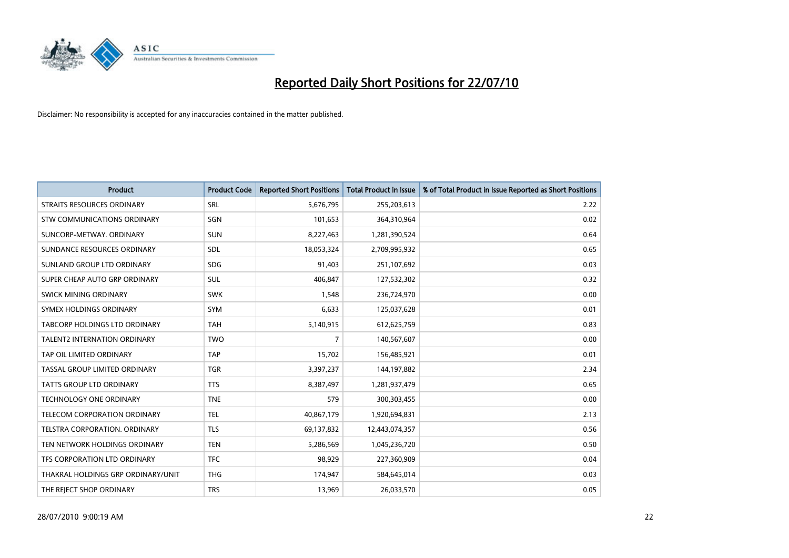

| <b>Product</b>                      | <b>Product Code</b> | <b>Reported Short Positions</b> | <b>Total Product in Issue</b> | % of Total Product in Issue Reported as Short Positions |
|-------------------------------------|---------------------|---------------------------------|-------------------------------|---------------------------------------------------------|
| STRAITS RESOURCES ORDINARY          | <b>SRL</b>          | 5,676,795                       | 255,203,613                   | 2.22                                                    |
| STW COMMUNICATIONS ORDINARY         | SGN                 | 101,653                         | 364,310,964                   | 0.02                                                    |
| SUNCORP-METWAY, ORDINARY            | <b>SUN</b>          | 8,227,463                       | 1,281,390,524                 | 0.64                                                    |
| SUNDANCE RESOURCES ORDINARY         | <b>SDL</b>          | 18,053,324                      | 2,709,995,932                 | 0.65                                                    |
| SUNLAND GROUP LTD ORDINARY          | <b>SDG</b>          | 91,403                          | 251,107,692                   | 0.03                                                    |
| SUPER CHEAP AUTO GRP ORDINARY       | <b>SUL</b>          | 406.847                         | 127,532,302                   | 0.32                                                    |
| SWICK MINING ORDINARY               | <b>SWK</b>          | 1,548                           | 236,724,970                   | 0.00                                                    |
| SYMEX HOLDINGS ORDINARY             | <b>SYM</b>          | 6,633                           | 125,037,628                   | 0.01                                                    |
| TABCORP HOLDINGS LTD ORDINARY       | <b>TAH</b>          | 5,140,915                       | 612,625,759                   | 0.83                                                    |
| <b>TALENT2 INTERNATION ORDINARY</b> | <b>TWO</b>          | $\overline{7}$                  | 140,567,607                   | 0.00                                                    |
| TAP OIL LIMITED ORDINARY            | <b>TAP</b>          | 15,702                          | 156,485,921                   | 0.01                                                    |
| TASSAL GROUP LIMITED ORDINARY       | <b>TGR</b>          | 3,397,237                       | 144,197,882                   | 2.34                                                    |
| TATTS GROUP LTD ORDINARY            | <b>TTS</b>          | 8,387,497                       | 1,281,937,479                 | 0.65                                                    |
| <b>TECHNOLOGY ONE ORDINARY</b>      | <b>TNE</b>          | 579                             | 300,303,455                   | 0.00                                                    |
| TELECOM CORPORATION ORDINARY        | <b>TEL</b>          | 40,867,179                      | 1,920,694,831                 | 2.13                                                    |
| TELSTRA CORPORATION. ORDINARY       | <b>TLS</b>          | 69,137,832                      | 12,443,074,357                | 0.56                                                    |
| TEN NETWORK HOLDINGS ORDINARY       | <b>TEN</b>          | 5,286,569                       | 1,045,236,720                 | 0.50                                                    |
| TFS CORPORATION LTD ORDINARY        | <b>TFC</b>          | 98,929                          | 227,360,909                   | 0.04                                                    |
| THAKRAL HOLDINGS GRP ORDINARY/UNIT  | <b>THG</b>          | 174,947                         | 584,645,014                   | 0.03                                                    |
| THE REJECT SHOP ORDINARY            | <b>TRS</b>          | 13,969                          | 26,033,570                    | 0.05                                                    |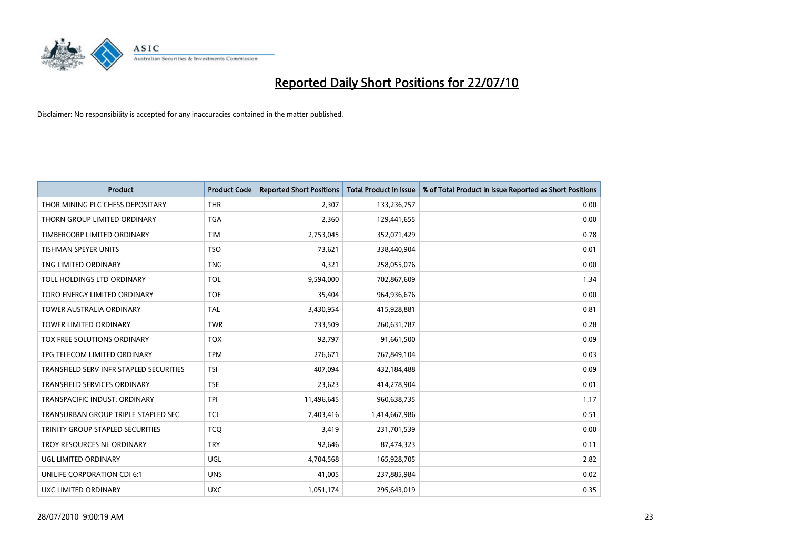

| <b>Product</b>                          | <b>Product Code</b> | <b>Reported Short Positions</b> | Total Product in Issue | % of Total Product in Issue Reported as Short Positions |
|-----------------------------------------|---------------------|---------------------------------|------------------------|---------------------------------------------------------|
| THOR MINING PLC CHESS DEPOSITARY        | <b>THR</b>          | 2,307                           | 133,236,757            | 0.00                                                    |
| THORN GROUP LIMITED ORDINARY            | <b>TGA</b>          | 2,360                           | 129,441,655            | 0.00                                                    |
| TIMBERCORP LIMITED ORDINARY             | <b>TIM</b>          | 2,753,045                       | 352,071,429            | 0.78                                                    |
| TISHMAN SPEYER UNITS                    | <b>TSO</b>          | 73,621                          | 338,440,904            | 0.01                                                    |
| TNG LIMITED ORDINARY                    | <b>TNG</b>          | 4,321                           | 258,055,076            | 0.00                                                    |
| TOLL HOLDINGS LTD ORDINARY              | <b>TOL</b>          | 9,594,000                       | 702,867,609            | 1.34                                                    |
| TORO ENERGY LIMITED ORDINARY            | <b>TOE</b>          | 35,404                          | 964,936,676            | 0.00                                                    |
| <b>TOWER AUSTRALIA ORDINARY</b>         | <b>TAL</b>          | 3,430,954                       | 415,928,881            | 0.81                                                    |
| <b>TOWER LIMITED ORDINARY</b>           | <b>TWR</b>          | 733,509                         | 260,631,787            | 0.28                                                    |
| <b>TOX FREE SOLUTIONS ORDINARY</b>      | <b>TOX</b>          | 92,797                          | 91,661,500             | 0.09                                                    |
| TPG TELECOM LIMITED ORDINARY            | <b>TPM</b>          | 276,671                         | 767,849,104            | 0.03                                                    |
| TRANSFIELD SERV INFR STAPLED SECURITIES | <b>TSI</b>          | 407,094                         | 432,184,488            | 0.09                                                    |
| TRANSFIELD SERVICES ORDINARY            | <b>TSE</b>          | 23,623                          | 414,278,904            | 0.01                                                    |
| TRANSPACIFIC INDUST. ORDINARY           | <b>TPI</b>          | 11,496,645                      | 960,638,735            | 1.17                                                    |
| TRANSURBAN GROUP TRIPLE STAPLED SEC.    | <b>TCL</b>          | 7,403,416                       | 1,414,667,986          | 0.51                                                    |
| TRINITY GROUP STAPLED SECURITIES        | <b>TCO</b>          | 3,419                           | 231,701,539            | 0.00                                                    |
| TROY RESOURCES NL ORDINARY              | <b>TRY</b>          | 92,646                          | 87,474,323             | 0.11                                                    |
| UGL LIMITED ORDINARY                    | UGL                 | 4,704,568                       | 165,928,705            | 2.82                                                    |
| UNILIFE CORPORATION CDI 6:1             | <b>UNS</b>          | 41,005                          | 237,885,984            | 0.02                                                    |
| UXC LIMITED ORDINARY                    | <b>UXC</b>          | 1,051,174                       | 295,643,019            | 0.35                                                    |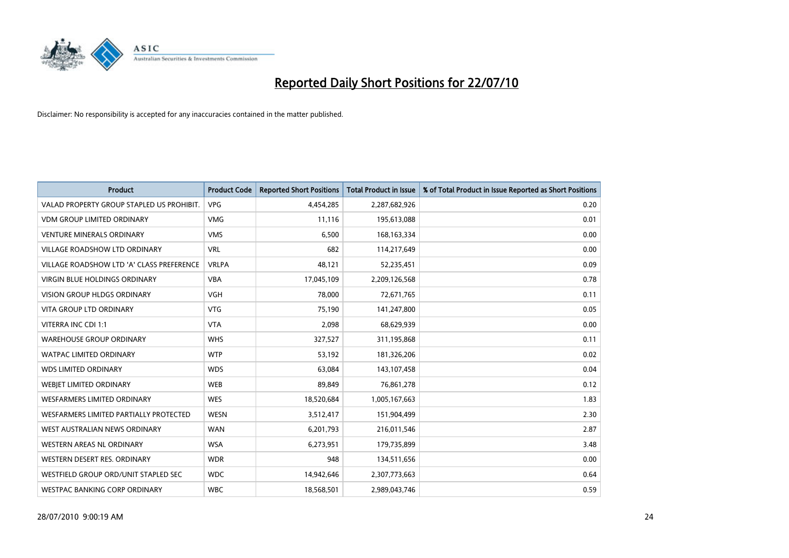

| <b>Product</b>                            | <b>Product Code</b> | <b>Reported Short Positions</b> | <b>Total Product in Issue</b> | % of Total Product in Issue Reported as Short Positions |
|-------------------------------------------|---------------------|---------------------------------|-------------------------------|---------------------------------------------------------|
| VALAD PROPERTY GROUP STAPLED US PROHIBIT. | <b>VPG</b>          | 4,454,285                       | 2,287,682,926                 | 0.20                                                    |
| <b>VDM GROUP LIMITED ORDINARY</b>         | <b>VMG</b>          | 11,116                          | 195,613,088                   | 0.01                                                    |
| <b>VENTURE MINERALS ORDINARY</b>          | <b>VMS</b>          | 6,500                           | 168, 163, 334                 | 0.00                                                    |
| <b>VILLAGE ROADSHOW LTD ORDINARY</b>      | <b>VRL</b>          | 682                             | 114,217,649                   | 0.00                                                    |
| VILLAGE ROADSHOW LTD 'A' CLASS PREFERENCE | <b>VRLPA</b>        | 48,121                          | 52,235,451                    | 0.09                                                    |
| <b>VIRGIN BLUE HOLDINGS ORDINARY</b>      | <b>VBA</b>          | 17,045,109                      | 2,209,126,568                 | 0.78                                                    |
| <b>VISION GROUP HLDGS ORDINARY</b>        | <b>VGH</b>          | 78,000                          | 72,671,765                    | 0.11                                                    |
| VITA GROUP LTD ORDINARY                   | <b>VTG</b>          | 75,190                          | 141,247,800                   | 0.05                                                    |
| VITERRA INC CDI 1:1                       | <b>VTA</b>          | 2,098                           | 68,629,939                    | 0.00                                                    |
| <b>WAREHOUSE GROUP ORDINARY</b>           | <b>WHS</b>          | 327,527                         | 311,195,868                   | 0.11                                                    |
| <b>WATPAC LIMITED ORDINARY</b>            | <b>WTP</b>          | 53,192                          | 181,326,206                   | 0.02                                                    |
| <b>WDS LIMITED ORDINARY</b>               | <b>WDS</b>          | 63,084                          | 143,107,458                   | 0.04                                                    |
| WEBJET LIMITED ORDINARY                   | <b>WEB</b>          | 89,849                          | 76,861,278                    | 0.12                                                    |
| <b>WESFARMERS LIMITED ORDINARY</b>        | <b>WES</b>          | 18,520,684                      | 1,005,167,663                 | 1.83                                                    |
| WESFARMERS LIMITED PARTIALLY PROTECTED    | <b>WESN</b>         | 3,512,417                       | 151,904,499                   | 2.30                                                    |
| WEST AUSTRALIAN NEWS ORDINARY             | <b>WAN</b>          | 6,201,793                       | 216,011,546                   | 2.87                                                    |
| WESTERN AREAS NL ORDINARY                 | <b>WSA</b>          | 6,273,951                       | 179,735,899                   | 3.48                                                    |
| WESTERN DESERT RES. ORDINARY              | <b>WDR</b>          | 948                             | 134,511,656                   | 0.00                                                    |
| WESTFIELD GROUP ORD/UNIT STAPLED SEC      | <b>WDC</b>          | 14,942,646                      | 2,307,773,663                 | 0.64                                                    |
| WESTPAC BANKING CORP ORDINARY             | <b>WBC</b>          | 18,568,501                      | 2,989,043,746                 | 0.59                                                    |